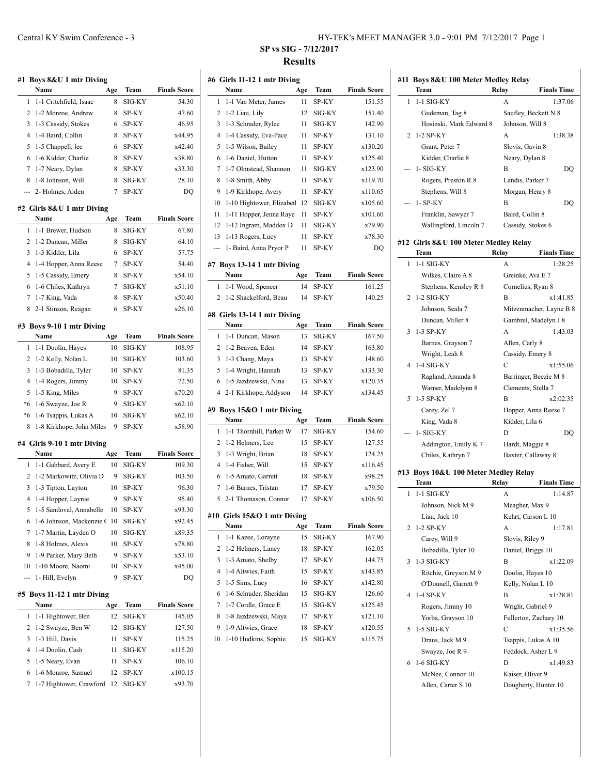| HY-TEK's MEET MANAGER 3.0 - 9:01 PM 7/12/2017 Page 1 |  |  |
|------------------------------------------------------|--|--|
|------------------------------------------------------|--|--|

# **SP vs SIG - 7/12/2017 Results**

| #1             | Boys 8&U 1 mtr Diving                         |     |        |                     |
|----------------|-----------------------------------------------|-----|--------|---------------------|
|                | Name                                          | Age | Team   | <b>Finals Score</b> |
| 1              | 1-1 Critchfield, Isaac                        | 8   | SIG-KY | 54.30               |
| $\overline{2}$ | 1-2 Monroe, Andrew                            | 8   | SP-KY  | 47.60               |
| 3              | 1-3 Cassidy, Stokes                           | 6   | SP-KY  | 46.95               |
| 4              | 1-4 Baird, Collin                             | 8   | SP-KY  | x44.95              |
| 5              | 1-5 Chappell, lee                             | 6   | SP-KY  | x42.40              |
| 6              | 1-6 Kidder, Charlie                           | 8   | SP-KY  | x38.80              |
| 7              | 1-7 Neary, Dylan                              | 8   | SP-KY  | x33.30              |
| 8              | 1-8 Johnson, Will                             | 8   | SIG-KY | 28.10               |
| ---            | 2- Holmes, Aiden                              | 7   | SP-KY  | DQ                  |
|                |                                               |     |        |                     |
|                | #2 Girls 8&U 1 mtr Diving<br>Name             | Age | Team   | <b>Finals Score</b> |
| 1              | 1-1 Brewer, Hudson                            | 8   | SIG-KY | 67.80               |
| 2              | 1-2 Duncan, Miller                            | 8   | SIG-KY | 64.10               |
| 3              |                                               | 6   |        |                     |
| 4              | 1-3 Kidder, Lila                              |     | SP-KY  | 57.75               |
|                | 1-4 Hopper, Anna Reese                        | 7   | SP-KY  | 54.40               |
| 5              | 1-5 Cassidy, Emery                            | 8   | SP-KY  | x54.10<br>x51.10    |
| 6              | 1-6 Chiles, Kathryn                           | 7   | SIG-KY |                     |
| 7              | 1-7 King, Vada                                | 8   | SP-KY  | x50.40              |
| 8              | 2-1 Stinson, Reagan                           | 6   | SP-KY  | x26.10              |
|                | #3 Boys 9-10 1 mtr Diving                     |     |        |                     |
|                | Name                                          | Age | Team   | <b>Finals Score</b> |
| 1              | 1-1 Doolin, Hayes                             | 10  | SIG-KY | 108.95              |
| 2              | 1-2 Kelly, Nolan L                            | 10  | SIG-KY | 103.60              |
| 3              | 1-3 Bobadilla, Tyler                          | 10  | SP-KY  | 81.35               |
| 4              | 1-4 Rogers, Jimmy                             | 10  | SP-KY  | 72.50               |
| 5              | 1-5 King, Miles                               | 9   | SP-KY  | x70.20              |
| $*6$           | 1-6 Swayze, Joe R                             | 9   | SIG-KY | x62.10              |
| $*_{6}$        | 1-6 Tsappis, Lukas A                          | 10  | SIG-KY | x62.10              |
| 8              | 1-8 Kirkhope, John Miles                      | 9   | SP-KY  | x58.90              |
|                |                                               |     |        |                     |
|                | #4 Girls 9-10 1 mtr Diving<br>Name            | Age | Team   | <b>Finals Score</b> |
| 1              | 1-1 Gabbard, Avery E                          | 10  | SIG-KY | 109.30              |
| 2              | 1-2 Markowitz, Olivia D                       | 9   |        |                     |
| 3              |                                               |     | SIG-KY | 103.50              |
| 4              | 1-3 Tipton, Layton                            | 10  | SP-KY  | 96.30               |
|                | 1-4 Hopper, Laynie<br>1-5 Sandoval, Annabelle | 9   | SP-KY  | 95.40<br>x93.30     |
| 5              |                                               | 10  | SP-KY  |                     |
| 6              | 1-6 Johnson, Mackenzie (                      | 10  | SIG-KY | x92.45              |
| 7              | 1-7 Martin, Layden O                          | 10  | SIG-KY | x89.35              |
| 8              | 1-8 Holmes, Alexis                            | 10  | SP-KY  | x78.80              |
| 9              | 1-9 Parker, Mary Beth                         | 9   | SP-KY  | x53.10              |
| 10             | 1-10 Moore, Naomi                             | 10  | SP-KY  | x45.00              |
| ---            | 1- Hill, Evelyn                               | 9   | SP-KY  | DQ                  |
|                | #5 Boys 11-12 1 mtr Diving                    |     |        |                     |
|                | Name                                          | Age | Team   | <b>Finals Score</b> |
| 1              | 1-1 Hightower, Ben                            | 12  | SIG-KY | 145.05              |
| 2              | 1-2 Swayze, Ben W                             | 12  | SIG-KY | 127.50              |
| 3              | 1-3 Hill, Davis                               | 11  | SP-KY  | 115.25              |
| 4              | 1-4 Doolin, Cash                              | 11  | SIG-KY | x115.20             |
| 5              | 1-5 Neary, Evan                               | 11  | SP-KY  | 106.10              |
| 6              | 1-6 Monroe, Samuel                            | 12  | SP-KY  | x100.15             |
| 7              | 1-7 Hightower, Crawford                       | 12  | SIG-KY | x93.70              |
|                |                                               |     |        |                     |

|           | #6 Girls 11-12 1 mtr Diving<br>Name         | Age | Team   | <b>Finals Score</b> |
|-----------|---------------------------------------------|-----|--------|---------------------|
| 1         | 1-1 Van Meter, James                        | 11  | SP-KY  | 151.55              |
| 2         | 1-2 Liau, Lily                              | 12  | SIG-KY | 151.40              |
| 3         | 1-3 Schrader, Rylee                         | 11  | SIG-KY | 142.90              |
| 4         | 1-4 Cassidy, Eva-Pace                       | 11  | SP-KY  | 131.10              |
| 5         | 1-5 Wilson, Bailey                          | 11  | SP-KY  | x130.20             |
| 6         | 1-6 Daniel, Hutton                          | 11  | SP-KY  | x125.40             |
| 7         | 1-7 Olmstead, Shannon                       | 11  | SIG-KY | x123.90             |
| 8         | 1-8 Smith, Abby                             | 11  | SP-KY  | x119.70             |
| 9         | 1-9 Kirkhope, Avery                         | 11  | SP-KY  | x110.65             |
| 10        | 1-10 Hightower, Elizabetl                   | 12  | SIG-KY | x105.60             |
| 11        | 1-11 Hopper, Jenna Raye                     | 11  | SP-KY  | x101.60             |
| 12        |                                             | 11  | SIG-KY | x79.90              |
|           | 1-12 Ingram, Maddox D                       | 11  | SP-KY  | x78.30              |
| 13<br>--- | 1-13 Rogers, Lucy<br>1- Baird, Anna Pryor P | 11  | SP-KY  | DO                  |
|           |                                             |     |        |                     |
|           | #7 Boys 13-14 1 mtr Diving                  |     |        |                     |
|           | Name                                        | Age | Team   | <b>Finals Score</b> |
| 1         | 1-1 Wood, Spencer                           | 14  | SP-KY  | 161.25              |
| 2         | 1-2 Shackelford, Beau                       | 14  | SP-KY  | 140.25              |
|           | #8 Girls 13-14 1 mtr Diving                 |     |        |                     |
|           | Name                                        | Age | Team   | <b>Finals Score</b> |
| 1         | 1-1 Duncan, Mason                           | 13  | SIG-KY | 167.50              |
| 2         | 1-2 Beaven, Eden                            | 14  | SP-KY  | 163.80              |
| 3         | 1-3 Chang, Maya                             | 13  | SP-KY  | 148.60              |
| 5         | 1-4 Wright, Hannah                          | 13  | SP-KY  | x133.30             |
| 6         | 1-5 Jazdzewski, Nina                        | 13  | SP-KY  | x120.35             |
| 4         | 2-1 Kirkhope, Addyson                       | 14  | SP-KY  | x134.45             |
|           |                                             |     |        |                     |
|           | #9 Boys 15&O 1 mtr Diving                   |     |        |                     |
|           |                                             |     |        |                     |
|           | Name                                        | Age | Team   | <b>Finals Score</b> |
| 1         | 1-1 Thornhill, Parker W                     | 17  | SIG-KY | 154.60              |
| 2         | 1-2 Helmers, Lee                            | 15  | SP-KY  | 127.55              |
| 3         | 1-3 Wright, Brian                           | 18  | SP-KY  | 124.25              |
| 4         | 1-4 Fisher, Will                            | 15  | SP-KY  | x116.45             |
| 6         | 1-5 Amato, Garrett                          | 18  | SP-KY  | x98.25              |
| 7         | 1-6 Barnes, Tristan                         | 17  | SP-KY  | x79.50              |
| 5         | 2-1 Thomason, Connor                        | 17  | SP-KY  | x106.50             |
|           | #10 Girls 15&O 1 mtr Diving                 |     |        |                     |
|           | Name                                        | Age | Team   | <b>Finals Score</b> |
| 1         | 1-1 Kazee, Lorayne                          | 15  | SIG-KY | 167.90              |
| 2         | 1-2 Helmers, Laney                          | 18  | SP-KY  | 162.05              |
| 3         | 1-3 Amato, Shelby                           | 17  | SP-KY  | 144.75              |
| 4         | 1-4 Altwies, Faith                          | 15  | SP-KY  | x143.85             |
| 5         | 1-5 Sims, Lucy                              | 16  | SP-KY  | x142.80             |
| 6         | 1-6 Schrader, Sheridan                      | 15  | SIG-KY | 126.60              |
| 7         | 1-7 Cordle, Grace E                         | 15  | SIG-KY | x125.45             |
| 8         | 1-8 Jazdzewski, Maya                        | 17  | SP-KY  | x121.10             |
| 9         | 1-9 Altwies, Grace                          | 18  | SP-KY  | x120.55             |
| 10        | 1-10 Hudkins, Sophie                        | 15  | SIG-KY | x115.75             |
|           |                                             |     |        |                     |

|     | #11 Boys 8&U 100 Meter Medley Relay  |                             |         |  |
|-----|--------------------------------------|-----------------------------|---------|--|
|     | Team                                 | Relay<br><b>Finals Time</b> |         |  |
| 1   | 1-1 SIG-KY                           | A                           | 1:37.06 |  |
|     | Gudeman, Tag 8                       | Saufley, Beckett N 8        |         |  |
|     | Hosinski, Mark Edward 8              | Johnson, Will 8             |         |  |
| 2   | 1-2 SP-KY                            | A<br>1:38.38                |         |  |
|     | Grant, Peter 7                       | Slovis, Gavin 8             |         |  |
|     | Kidder, Charlie 8                    | Neary, Dylan 8              |         |  |
|     | 1- SIG-KY                            | B                           | DQ      |  |
|     | Rogers, Preston R 8                  | Landis, Parker 7            |         |  |
|     | Stephens, Will 8                     | Morgan, Henry 8             |         |  |
|     | 1- SP-KY                             | B                           | DQ      |  |
|     | Franklin, Sawyer 7                   | Baird, Collin 8             |         |  |
|     | Wallingford, Lincoln 7               | Cassidy, Stokes 6           |         |  |
|     |                                      |                             |         |  |
|     | #12 Girls 8&U 100 Meter Medley Relay |                             |         |  |
|     | Team                                 | Relay<br><b>Finals Time</b> |         |  |
| 1   | $1-1$ SIG-KY                         | А<br>1:28.25                |         |  |
|     | Wilkes, Claire A 8                   | Greinke, Ava E 7            |         |  |
|     | Stephens, Kensley R 8                | Cornelius, Ryan 8           |         |  |
| 2   | $1-2$ SIG-KY                         | B<br>x1:41.85               |         |  |
|     | Johnson, Seala 7                     | Mitzenmacher, Layne B 8     |         |  |
|     | Duncan, Miller 8                     | Gambrel, Madelyn J 8        |         |  |
| 3   | 1-3 SP-KY                            | A<br>1:43.03                |         |  |
|     | Barnes, Grayson 7                    | Allen, Carly 8              |         |  |
|     | Wright, Leah 8                       | Cassidy, Emery 8            |         |  |
| 4   | 1-4 SIG-KY                           | С<br>x1:55.06               |         |  |
|     | Ragland, Amanda 8                    | Barringer, Beezie M 8       |         |  |
|     | Warner, Madelynn 8                   | Clements, Stella 7          |         |  |
| 5   | 1-5 SP-KY                            | B<br>x2:02.35               |         |  |
|     | Carey, Zel 7                         | Hopper, Anna Reese 7        |         |  |
|     | King, Vada 8                         | Kidder, Lila 6              |         |  |
| --- | 1- SIG-KY                            | D                           | DQ      |  |
|     | Addington, Emily K 7                 | Hardt, Maggie 8             |         |  |
|     | Chiles, Kathryn 7                    | Baxter, Callaway 8          |         |  |
|     | #13 Boys 10&U 100 Meter Medley Relay |                             |         |  |
|     | Team                                 | Relay<br><b>Finals Time</b> |         |  |
| 1   | 1-1 SIG-KY                           | A<br>1:14.87                |         |  |
|     | Johnson, Nick M 9                    | Meagher, Max 9              |         |  |
|     | Liau, Jack 10                        | Kehrt, Carson L 10          |         |  |
| 2   | 1-2 SP-KY                            | А<br>1:17.81                |         |  |
|     | Carey, Will 9                        | Slovis, Riley 9             |         |  |
|     | Bobadilla, Tyler 10                  | Daniel, Briggs 10           |         |  |
| 3   | 1-3 SIG-KY                           | B<br>x1:22.09               |         |  |
|     | Ritchie, Greyson M 9                 | Doolin, Hayes 10            |         |  |
|     | O'Donnell, Garrett 9                 | Kelly, Nolan L 10           |         |  |
| 4   | 1-4 SP-KY                            | B<br>x1:28.81               |         |  |
|     | Rogers, Jimmy 10                     | Wright, Gabriel 9           |         |  |
|     | Yorba, Grayson 10                    | Fullerton, Zachary 10       |         |  |
| 5   | 1-5 SIG-KY                           | C<br>x1:35.56               |         |  |
|     | Draus, Jack M 9                      | Tsappis, Lukas A 10         |         |  |
|     | Swayze, Joe R 9                      | Feddock, Asher L 9          |         |  |
| 6   | 1-6 SIG-KY                           | D<br>x1:49.83               |         |  |
|     | McNee, Connor 10                     | Kaiser, Oliver 9            |         |  |
|     | Allen, Carter S 10                   | Dougherty, Hunter 10        |         |  |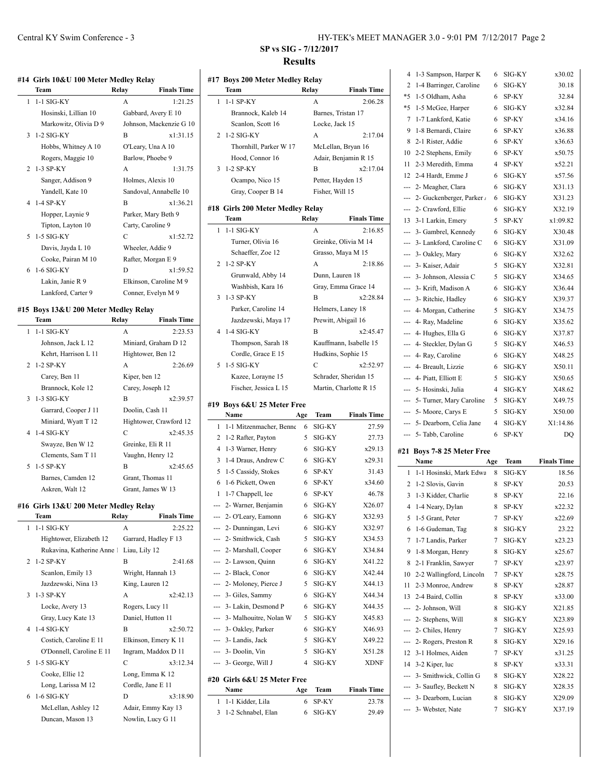#### **#14 Girls 10&U 100 Meter Medley Relay**

| Team                         | Relay             | <b>Finals Time</b>      |
|------------------------------|-------------------|-------------------------|
| $1-1$ SIG-KY<br>$\mathbf{1}$ | A                 | 1:21.25                 |
| Hosinski, Lillian 10         |                   | Gabbard, Avery E 10     |
| Markowitz, Olivia D 9        |                   | Johnson, Mackenzie G 10 |
| $3 - 1 - 2$ SIG-KY           | B                 | x1:31.15                |
| Hobbs, Whitney A 10          |                   | O'Leary, Una A 10       |
| Rogers, Maggie 10            |                   | Barlow, Phoebe 9        |
| 2 1-3 SP-KY                  | A                 | 1:31.75                 |
| Sanger, Addison 9            |                   | Holmes, Alexis 10       |
| Yandell, Kate 10             |                   | Sandoval, Annabelle 10  |
| 4 1-4 SP-KY                  | B                 | x1:36.21                |
| Hopper, Laynie 9             |                   | Parker, Mary Beth 9     |
| Tipton, Layton 10            | Carty, Caroline 9 |                         |
| 5 1-5 SIG-KY                 | C                 | x1:52.72                |
| Davis, Jayda L 10            |                   | Wheeler, Addie 9        |
| Cooke, Pairan M 10           |                   | Rafter, Morgan E 9      |
| 6 1-6 SIG-KY                 | D                 | x1:59.52                |
| Lakin, Janie R 9             |                   | Elkinson, Caroline M 9  |
| Lankford, Carter 9           |                   | Conner, Evelyn M 9      |

#### **#15 Boys 13&U 200 Meter Medley Relay**

| <b>Team</b>          | Relay             | <b>Finals Time</b>     |  |
|----------------------|-------------------|------------------------|--|
| 1 1-1 SIG-KY         | A                 | 2:23.53                |  |
| Johnson, Jack L 12   |                   | Miniard, Graham D 12   |  |
| Kehrt, Harrison L 11 |                   | Hightower, Ben 12      |  |
| 2 1-2 SP-KY          | A                 | 2:26.69                |  |
| Carey, Ben 11        | Kiper, ben 12     |                        |  |
| Brannock, Kole 12    | Carey, Joseph 12  |                        |  |
| 3 1-3 SIG-KY         | B                 | x2:39.57               |  |
| Garrard, Cooper J 11 | Doolin, Cash 11   |                        |  |
| Miniard, Wyatt T 12  |                   | Hightower, Crawford 12 |  |
| 4 1-4 SIG-KY         | C                 | x2:45.35               |  |
| Swayze, Ben W 12     | Greinke, Eli R 11 |                        |  |
| Clements, Sam T 11   |                   | Vaughn, Henry 12       |  |
| 5 1-5 SP-KY          | R                 | x2:45.65               |  |
| Barnes, Camden 12    |                   | Grant, Thomas 11       |  |
| Askren, Walt 12      |                   | Grant, James W 13      |  |

#### **#16 Girls 13&U 200 Meter Medley Relay**

 $\overline{a}$ 

|             | Team                     | Relay             | <b>Finals Time</b>   |
|-------------|--------------------------|-------------------|----------------------|
| 1           | $1-1$ SIG-KY             | A                 | 2:25.22              |
|             | Hightower, Elizabeth 12  |                   | Garrard, Hadley F 13 |
|             | Rukavina, Katherine Anne | Liau, Lily 12     |                      |
| $2^{\circ}$ | $1-2$ SP-KY              | R                 | 2:41.68              |
|             | Scanlon, Emily 13        |                   | Wright, Hannah 13    |
|             | Jazdzewski, Nina 13      | King, Lauren 12   |                      |
|             | $3 - 1 - 3$ SP-KY        | A                 | x2:42.13             |
|             | Locke, Avery 13          | Rogers, Lucy 11   |                      |
|             | Gray, Lucy Kate 13       |                   | Daniel, Hutton 11    |
|             | 4 1-4 SIG-KY             | R                 | x2:50.72             |
|             | Costich, Caroline E 11   |                   | Elkinson, Emery K 11 |
|             | O'Donnell, Caroline E 11 |                   | Ingram, Maddox D 11  |
|             | 5 1-5 SIG-KY             | $\mathcal{C}$     | x3:12.34             |
|             | Cooke, Ellie 12          |                   | Long, Emma K 12      |
|             | Long, Larissa M 12       | Cordle, Jane E 11 |                      |
| 6           | $1-6$ SIG-KY             | D                 | x3:18.90             |
|             | McLellan, Ashley 12      |                   | Adair, Emmy Kay 13   |
|             | Duncan, Mason 13         |                   | Nowlin, Lucy G 11    |

# **#17 Boys 200 Meter Medley Relay Team Relay Finals Time** 1 1-1 SP-KY A 2:06.28 Brannock, Kaleb 14 Barnes, Tristan 17 Scanlon, Scott 16 Locke, Jack 15 2 1-2 SIG-KY A 2:17.0 Thornhill, Parker W 17 McLellan, Bryan 16 Hood, Connor 16 Adair, Benjamin R 15 3 1-2 SP-KY B x2:17.04 Ocampo, Nico 15 Petter, Hayden 15 Gray, Cooper B 14 Fisher, Will 15 **#18 Girls 200 Meter Medley Relay Team Relay Finals Time** 1 1-1 SIG-KY A 2:16.8 Turner, Olivia 16 Greinke, Olivia M 14 Schaeffer, Zoe 12 Grasso, Maya M 15 2 1-2 SP-KY A 2:18.8 Grunwald, Abby 14 Dunn, Lauren 18 Washbish, Kara 16 Gray, Emma Grace 14 3 1-3 SP-KY B x2:28.8 Parker, Caroline 14 Helmers, Laney 18 Jazdzewski, Maya 17 Prewitt, Abigail 16 4 1-4 SIG-KY B x2:45.47 Thompson, Sarah 18 Kauffmann, Isabelle 15 Cordle, Grace E 15 Hudkins, Sophie 15 5 1-5 SIG-KY C x2:52.97 Kazee, Lorayne 15 Schrader, Sheridan 15 Fischer, Jessica L 15 Martin, Charlotte R 15 **#19 Boys 6&U 25 Meter Free Name Age Team Finals Time** 1 1-1 Mitzenmacher, Benne 6 SIG-KY 27.5 2 1-2 Rafter, Payton 5 SIG-KY 27.7 4 1-3 Warner, Henry 6 SIG-KY x29.13 3 1-4 Draus, Andrew C 6 SIG-KY x29.3 5 1-5 Cassidy, Stokes 6 SP-KY 31.4 6 1-6 Pickett, Owen 6 SP-KY x34.6 1 1-7 Chappell, lee 6 SP-KY 46.7 --- 2- Warner, Benjamin 6 SIG-KY X26.0 --- 2- O'Leary, Eamonn 6 SIG-KY X32.9  $-2$ - Dunningan, Levi 6 SIG-KY X32.9 --- 2- Smithwick, Cash 5 SIG-KY X34.5 --- 2- Marshall, Cooper 6 SIG-KY X34.8 --- 2- Lawson, Quinn 6 SIG-KY X41.2 --- 2- Black, Conor 6 SIG-KY X42.4  $-2$ - Moloney, Pierce J 5 SIG-KY X44.1  $-$ -- 3- Giles, Sammy 6 SIG-KY  $X44.3$ --- 3- Lakin, Desmond P 6 SIG-KY X44.3 --- 3- Malhouitre, Nolan W 5 SIG-KY X45.8 --- 3- Oakley, Parker 6 SIG-KY X46.9

# --- 3- Landis, Jack 5 SIG-KY X49.2 --- 3- Doolin, Vin 5 SIG-KY X51.2 --- 3- George, Will J 4 SIG-KY XDN **#20 Girls 6&U 25 Meter Free Name Age Team Finals Time**

| .                    | . | .        |       |
|----------------------|---|----------|-------|
| 1 1-1 Kidder, Lila   |   | 6 SP-KY  | 23.78 |
| 3 1-2 Schnabel, Elan |   | 6 SIG-KY | 29.49 |

| HY-TEK's MEET MANAGER 3.0 - 9:01 PM 7/12/2017 Page 2 |  |  |  |
|------------------------------------------------------|--|--|--|
|------------------------------------------------------|--|--|--|

|                             | 4                                                                                                                                                                                                                                                                                                                                                                                                                                                                          | 1-3 Sampson, Harper K              | 6              | SIG-KY         | x30.02             |
|-----------------------------|----------------------------------------------------------------------------------------------------------------------------------------------------------------------------------------------------------------------------------------------------------------------------------------------------------------------------------------------------------------------------------------------------------------------------------------------------------------------------|------------------------------------|----------------|----------------|--------------------|
|                             | 2                                                                                                                                                                                                                                                                                                                                                                                                                                                                          | 1-4 Barringer, Caroline            | 6              | SIG-KY         | 30.18              |
| ıe                          | *5                                                                                                                                                                                                                                                                                                                                                                                                                                                                         | 1-5 Oldham, Asha                   | 6              | SP-KY          | 32.84              |
| 28                          | *5                                                                                                                                                                                                                                                                                                                                                                                                                                                                         | 1-5 McGee, Harper                  | 6              | SIG-KY         | x32.84             |
|                             | 7                                                                                                                                                                                                                                                                                                                                                                                                                                                                          | 1-7 Lankford, Katie                | 6              | SP-KY          | x34.16             |
|                             | 9                                                                                                                                                                                                                                                                                                                                                                                                                                                                          | 1-8 Bernardi, Claire               | 6              | SP-KY          | x36.88             |
| $\frac{1}{4}$               | 8                                                                                                                                                                                                                                                                                                                                                                                                                                                                          | 2-1 Rister, Addie                  | 6              | SP-KY          | x36.63             |
|                             | 10                                                                                                                                                                                                                                                                                                                                                                                                                                                                         | 2-2 Stephens, Emily                | 6              | SP-KY          | x50.75             |
|                             | 11                                                                                                                                                                                                                                                                                                                                                                                                                                                                         | 2-3 Meredith, Emma                 | 4              | SP-KY          | x52.21             |
| 14                          | 12                                                                                                                                                                                                                                                                                                                                                                                                                                                                         | 2-4 Hardt, Emme J                  | 6              |                | x57.56             |
|                             |                                                                                                                                                                                                                                                                                                                                                                                                                                                                            | 2- Meagher, Clara                  | 6              | SIG-KY         |                    |
|                             | ---                                                                                                                                                                                                                                                                                                                                                                                                                                                                        |                                    |                | SIG-KY         | X31.13             |
|                             | ---                                                                                                                                                                                                                                                                                                                                                                                                                                                                        | 2- Guckenberger, Parker /          | 6              | SIG-KY         | X31.23             |
|                             | ---                                                                                                                                                                                                                                                                                                                                                                                                                                                                        | 2- Crawford, Ellie                 | 6              | SIG-KY         | X32.19             |
| ıe<br>35                    | 13                                                                                                                                                                                                                                                                                                                                                                                                                                                                         | 3-1 Larkin, Emery                  | 5              | SP-KY          | x1:09.82           |
|                             | ---                                                                                                                                                                                                                                                                                                                                                                                                                                                                        | 3- Gambrel, Kennedy                | 6              | SIG-KY         | X30.48             |
|                             | ---                                                                                                                                                                                                                                                                                                                                                                                                                                                                        | 3- Lankford, Caroline C            | 6              | SIG-KY         | X31.09             |
|                             | ---                                                                                                                                                                                                                                                                                                                                                                                                                                                                        | 3- Oakley, Mary                    | 6              | SIG-KY         | X32.62             |
| 36                          | ---                                                                                                                                                                                                                                                                                                                                                                                                                                                                        | 3- Kaiser, Adair                   | 5              | SIG-KY         | X32.81             |
|                             |                                                                                                                                                                                                                                                                                                                                                                                                                                                                            | 3- Johnson, Alessia C              | 5              | SIG-KY         | X34.65             |
|                             | ---                                                                                                                                                                                                                                                                                                                                                                                                                                                                        | 3- Krift, Madison A                | 6              | SIG-KY         | X36.44             |
| $^{34}$                     | ---                                                                                                                                                                                                                                                                                                                                                                                                                                                                        | 3- Ritchie, Hadley                 | 6              | SIG-KY         | X39.37             |
|                             | ---                                                                                                                                                                                                                                                                                                                                                                                                                                                                        | 4- Morgan, Catherine               | 5              | SIG-KY         | X34.75             |
|                             | ---                                                                                                                                                                                                                                                                                                                                                                                                                                                                        | 4- Ray, Madeline                   | 6              | SIG-KY         | X35.62             |
| 17                          | ---                                                                                                                                                                                                                                                                                                                                                                                                                                                                        | 4- Hughes, Ella G                  | 6              | SIG-KY         | X37.87             |
|                             | ---                                                                                                                                                                                                                                                                                                                                                                                                                                                                        | 4- Steckler, Dylan G               | 5              | SIG-KY         | X46.53             |
|                             |                                                                                                                                                                                                                                                                                                                                                                                                                                                                            | --- 4- Ray, Caroline               | 6              | SIG-KY         | X48.25             |
| 17                          | $\overline{a}$                                                                                                                                                                                                                                                                                                                                                                                                                                                             | 4- Breault, Lizzie                 | 6              | SIG-KY         | X50.11             |
|                             | ---                                                                                                                                                                                                                                                                                                                                                                                                                                                                        | 4- Piatt, Elliott E                | 5              | SIG-KY         | X50.65             |
|                             | $\frac{1}{2} \left( \frac{1}{2} \right) \left( \frac{1}{2} \right) \left( \frac{1}{2} \right) \left( \frac{1}{2} \right) \left( \frac{1}{2} \right) \left( \frac{1}{2} \right) \left( \frac{1}{2} \right) \left( \frac{1}{2} \right) \left( \frac{1}{2} \right) \left( \frac{1}{2} \right) \left( \frac{1}{2} \right) \left( \frac{1}{2} \right) \left( \frac{1}{2} \right) \left( \frac{1}{2} \right) \left( \frac{1}{2} \right) \left( \frac{1}{2} \right) \left( \frac$ | 5- Hosinski, Julia                 | 4              | SIG-KY         | X48.62             |
|                             |                                                                                                                                                                                                                                                                                                                                                                                                                                                                            |                                    |                |                |                    |
|                             | $\overline{a}$                                                                                                                                                                                                                                                                                                                                                                                                                                                             | 5- Turner, Mary Caroline           | 5              | SIG-KY         | X49.75             |
| ıe                          |                                                                                                                                                                                                                                                                                                                                                                                                                                                                            | 5- Moore, Carys E                  | 5              | SIG-KY         | X50.00             |
| 59                          | ---                                                                                                                                                                                                                                                                                                                                                                                                                                                                        | 5- Dearborn, Celia Jane            | $\overline{4}$ | SIG-KY         | X1:14.86           |
| 13                          | ---                                                                                                                                                                                                                                                                                                                                                                                                                                                                        | 5- Tabb, Caroline                  | 6              | SP-KY          | DQ                 |
| 3                           |                                                                                                                                                                                                                                                                                                                                                                                                                                                                            |                                    |                |                |                    |
| ١1                          |                                                                                                                                                                                                                                                                                                                                                                                                                                                                            | #21 Boys 7-8 25 Meter Free<br>Name |                |                | <b>Finals Time</b> |
| ŀ3                          | 1                                                                                                                                                                                                                                                                                                                                                                                                                                                                          | 1-1 Hosinski, Mark Edwa            | Age<br>8       | Team<br>SIG-KY |                    |
| $\overline{\mathfrak{g}}_0$ | 2                                                                                                                                                                                                                                                                                                                                                                                                                                                                          | 1-2 Slovis, Gavin                  | 8              | SP-KY          | 18.56              |
| 78                          |                                                                                                                                                                                                                                                                                                                                                                                                                                                                            |                                    |                |                | 20.53              |
|                             | 3                                                                                                                                                                                                                                                                                                                                                                                                                                                                          | 1-3 Kidder, Charlie                | 8              | SP-KY          | 22.16              |
| 17<br>13                    | 4                                                                                                                                                                                                                                                                                                                                                                                                                                                                          | 1-4 Neary, Dylan                   | 8              | SP-KY          | x22.32             |
| 17                          | 5                                                                                                                                                                                                                                                                                                                                                                                                                                                                          | 1-5 Grant, Peter                   | 7              | SP-KY          | x22.69             |
| 53                          | 6                                                                                                                                                                                                                                                                                                                                                                                                                                                                          | 1-6 Gudeman, Tag                   | 8              | SIG-KY         | 23.22              |
| 34                          | 7                                                                                                                                                                                                                                                                                                                                                                                                                                                                          | 1-7 Landis, Parker                 | 7              | SIG-KY         | x23.23             |
|                             | 9                                                                                                                                                                                                                                                                                                                                                                                                                                                                          | 1-8 Morgan, Henry                  | 8              | SIG-KY         | x25.67             |
| $^{12}$<br>14               | 8                                                                                                                                                                                                                                                                                                                                                                                                                                                                          | 2-1 Franklin, Sawyer               | 7              | SP-KY          | x23.97             |
|                             | 10                                                                                                                                                                                                                                                                                                                                                                                                                                                                         | 2-2 Wallingford, Lincoln           | 7              | SP-KY          | x28.75             |
| 3<br>\$4                    | 11                                                                                                                                                                                                                                                                                                                                                                                                                                                                         | 2-3 Monroe, Andrew                 | 8              | SP-KY          | x28.87             |
| 15                          | 13                                                                                                                                                                                                                                                                                                                                                                                                                                                                         | 2-4 Baird, Collin                  | 8              | SP-KY          | x33.00             |
| 33                          | ---                                                                                                                                                                                                                                                                                                                                                                                                                                                                        | 2- Johnson, Will                   | 8              | SIG-KY         | X21.85             |
| 13                          | ---<br>---                                                                                                                                                                                                                                                                                                                                                                                                                                                                 | 2- Stephens, Will                  | 8              | SIG-KY         | X23.89             |
| $^{22}$                     |                                                                                                                                                                                                                                                                                                                                                                                                                                                                            | 2- Chiles, Henry                   | 7              | SIG-KY         | X25.93             |
|                             | ---                                                                                                                                                                                                                                                                                                                                                                                                                                                                        | 2- Rogers, Preston R               | 8              | SIG-KY         | X29.16             |
| 28<br>F                     | 12                                                                                                                                                                                                                                                                                                                                                                                                                                                                         | 3-1 Holmes, Aiden                  | 7              | SP-KY          | x31.25             |
|                             | 14                                                                                                                                                                                                                                                                                                                                                                                                                                                                         | 3-2 Kiper, luc                     | 8              | SP-KY          | x33.31             |
|                             | ---                                                                                                                                                                                                                                                                                                                                                                                                                                                                        | 3- Smithwick, Collin G             | 8              | SIG-KY         | X28.22             |
| ıe                          | ---                                                                                                                                                                                                                                                                                                                                                                                                                                                                        | 3- Saufley, Beckett N              | 8              | SIG-KY         | X28.35             |
| 78                          | ---<br>---                                                                                                                                                                                                                                                                                                                                                                                                                                                                 | 3- Dearborn, Lucian                | 8              | SIG-KY         | X29.09             |
| 19                          |                                                                                                                                                                                                                                                                                                                                                                                                                                                                            | 3- Webster, Nate                   | 7              | SIG-KY         | X37.19             |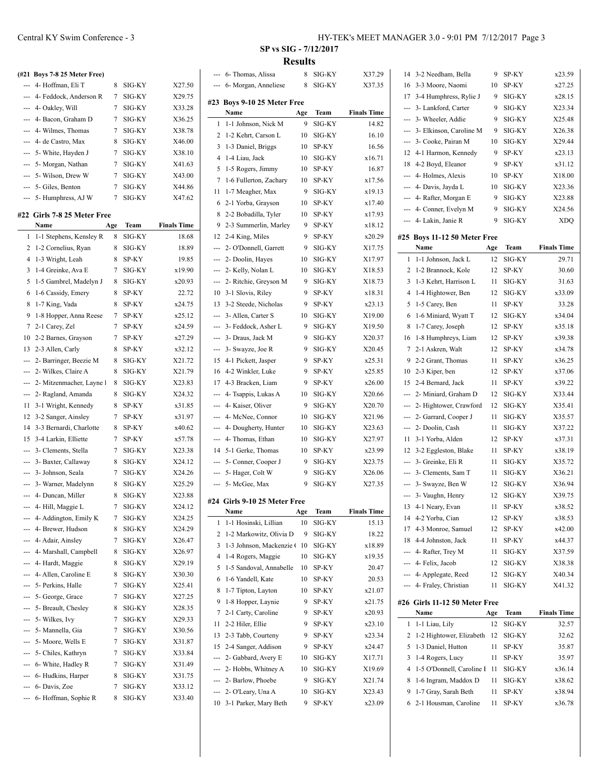| ---           | (#21 Boys 7-8 25 Meter Free)<br>4- Hoffman, Eli T | 8   | SIG-KY | X27.50             |
|---------------|---------------------------------------------------|-----|--------|--------------------|
| ---           | 4- Feddock, Anderson R                            | 7   | SIG-KY | X29.75             |
|               |                                                   | 7   | SIG-KY | X33.28             |
| ---           | 4- Oakley, Will<br>4- Bacon, Graham D             | 7   | SIG-KY | X36.25             |
|               |                                                   |     |        |                    |
|               | 4- Wilmes, Thomas                                 | 7   | SIG-KY | X38.78             |
| ---           | 4- de Castro, Max                                 | 8   | SIG-KY | X46.00             |
| ---           | 5- White, Hayden J                                | 7   | SIG-KY | X38.10             |
| ---           | 5- Morgan, Nathan                                 | 7   | SIG-KY | X41.63             |
| $\frac{1}{2}$ | 5- Wilson, Drew W                                 | 7   | SIG-KY | X43.00             |
| ---           | 5- Giles, Benton                                  | 7   | SIG-KY | X44.86             |
|               | --- 5- Humphress, AJ W                            | 7   | SIG-KY | X47.62             |
|               | #22 Girls 7-8 25 Meter Free                       |     |        |                    |
|               | Name                                              | Age | Team   | <b>Finals Time</b> |
| 1             | 1-1 Stephens, Kensley R                           | 8   | SIG-KY | 18.68              |
| 2             | 1-2 Cornelius, Ryan                               | 8   | SIG-KY | 18.89              |
| 4             | 1-3 Wright, Leah                                  | 8   | SP-KY  | 19.85              |
| 3             | 1-4 Greinke, Ava E                                | 7   | SIG-KY | x19.90             |
| 5             | 1-5 Gambrel, Madelyn J                            | 8   | SIG-KY | x20.93             |
| 6             | 1-6 Cassidy, Emery                                | 8   | SP-KY  | 22.72              |
| 8             | 1-7 King, Vada                                    | 8   | SP-KY  | x24.75             |
| 9             | 1-8 Hopper, Anna Reese                            | 7   | SP-KY  | x25.12             |
| 7             | 2-1 Carey, Zel                                    | 7   | SP-KY  | x24.59             |
| 10            | 2-2 Barnes, Grayson                               | 7   | SP-KY  | x27.29             |
| 13            | 2-3 Allen, Carly                                  | 8   | SP-KY  | x32.12             |
| ---           | 2- Barringer, Beezie M                            | 8   | SIG-KY | X21.72             |
|               | 2- Wilkes, Claire A                               | 8   | SIG-KY | X21.79             |
|               | 2- Mitzenmacher, Layne I                          | 8   | SIG-KY | X23.83             |
| ---           | 2- Ragland, Amanda                                | 8   | SIG-KY | X24.32             |
| 11            | 3-1 Wright, Kennedy                               | 8   | SP-KY  | x31.85             |
| 12            | 3-2 Sanger, Ainsley                               | 7   | SP-KY  | x31.97             |
| 14            | 3-3 Bernardi, Charlotte                           | 8   | SP-KY  | x40.62             |
| 15            | 3-4 Larkin, Elliette                              | 7   | SP-KY  | x57.78             |
| ---           | 3- Clements, Stella                               | 7   | SIG-KY | X23.38             |
| ---           | 3- Baxter, Callaway                               | 8   | SIG-KY | X24.12             |
| ---           | 3- Johnson, Seala                                 | 7   | SIG-KY | X24.26             |
| ---           | 3- Warner, Madelynn                               | 8   | SIG-KY | X25.29             |
|               | 4- Duncan, Miller                                 | 8   | SIG-KY | X23.88             |
|               | 4- Hill, Maggie L                                 | 7   | SIG-KY | X24.12             |
|               | 4- Addington, Emily K                             | 7   | SIG-KY | X24.25             |
|               | 4- Brewer, Hudson                                 | 8   | SIG-KY | X24.29             |
|               | 4- Adair, Ainsley                                 | 7   | SIG-KY | X26.47             |
| ---           | 4- Marshall, Campbell                             | 8   | SIG-KY | X26.97             |
| ---           | 4- Hardt, Maggie                                  | 8   | SIG-KY | X29.19             |
|               | 4- Allen, Caroline E                              | 8   | SIG-KY | X30.30             |
|               |                                                   | 7   |        |                    |
| ---           | 5- Perkins, Halle                                 |     | SIG-KY | X25.41             |
|               | --- 5- George, Grace                              | 7   | SIG-KY | X27.25             |
| ÷             | 5- Breault, Chesley                               | 8   | SIG-KY | X28.35             |
| ---           | 5- Wilkes, Ivy                                    | 7   | SIG-KY | X29.33             |
| ---           | 5- Mannella, Gia                                  | 7   | SIG-KY | X30.56             |
|               | 5- Moore, Wells E                                 | 7   | SIG-KY | X31.87             |
|               | 5- Chiles, Kathryn                                | 7   | SIG-KY | X33.84             |
|               | 6- White, Hadley R                                | 7   | SIG-KY | X31.49             |
|               | 6- Hudkins, Harper                                | 8   | SIG-KY | X31.75             |

--- 6- Davis, Zoe 7 SIG-KY X33.12 --- 6- Hoffman, Sophie R 8 SIG-KY X33.40

| --- | 6- Thomas, Alissa               | 8   | SIG-KY | X37.29             |
|-----|---------------------------------|-----|--------|--------------------|
| --- | 6- Morgan, Anneliese            | 8   | SIG-KY | X37.35             |
|     |                                 |     |        |                    |
| #23 | Boys 9-10 25 Meter Free<br>Name | Age | Team   | <b>Finals Time</b> |
| 1   | 1-1 Johnson, Nick M             | 9   | SIG-KY | 14.82              |
| 2   | 1-2 Kehrt, Carson L             | 10  | SIG-KY | 16.10              |
| 3   | 1-3 Daniel, Briggs              | 10  | SP-KY  | 16.56              |
| 4   | 1-4 Liau, Jack                  |     | SIG-KY | x16.71             |
| 5   | 1-5 Rogers, Jimmy               | 10  | SP-KY  | 16.87              |
|     |                                 | 10  |        |                    |
| 7   | 1-6 Fullerton, Zachary          | 10  | SP-KY  | x17.56             |
| 11  | 1-7 Meagher, Max                | 9   | SIG-KY | x19.13             |
| 6   | 2-1 Yorba, Grayson              | 10  | SP-KY  | x17.40             |
| 8   | 2-2 Bobadilla, Tyler            | 10  | SP-KY  | x17.93             |
| 9   | 2-3 Summerlin, Marley           | 9   | SP-KY  | x18.12             |
| 12  | 2-4 King, Miles                 | 9   | SP-KY  | x20.29             |
| --- | 2- O'Donnell, Garrett           | 9   | SIG-KY | X17.75             |
| --- | 2- Doolin, Haves                | 10  | SIG-KY | X17.97             |
| --- | 2- Kelly, Nolan L               | 10  | SIG-KY | X18.53             |
| --- | 2- Ritchie, Greyson M           | 9   | SIG-KY | X18.73             |
| 10  | 3-1 Slovis, Riley               | 9   | SP-KY  | x18.31             |
| 13  | 3-2 Steede, Nicholas            | 9   | SP-KY  | x23.13             |
| --- | 3- Allen, Carter S              | 10  | SIG-KY | X19.00             |
| --- | 3- Feddock, Asher L             | 9   | SIG-KY | X19.50             |
| --- | 3- Draus, Jack M                | 9   | SIG-KY | X20.37             |
| --- | 3- Swayze, Joe R                | 9   | SIG-KY | X20.45             |
| 15  | 4-1 Pickett, Jasper             | 9   | SP-KY  | x25.31             |
| 16  | 4-2 Winkler, Luke               | 9   | SP-KY  | x25.85             |
| 17  | 4-3 Bracken, Liam               | 9   | SP-KY  | x26.00             |
| --- | 4- Tsappis, Lukas A             | 10  | SIG-KY | X20.66             |
| --- | 4- Kaiser, Oliver               | 9   | SIG-KY | X20.70             |
| --- | 4- McNee, Connor                | 10  | SIG-KY | X21.96             |
| --- | 4- Dougherty, Hunter            | 10  | SIG-KY | X23.63             |
| --- | 4- Thomas, Ethan                | 10  | SIG-KY | X27.97             |
| 14  | 5-1 Gerke, Thomas               | 10  | SP-KY  | x23.99             |
| --- | 5- Conner, Cooper J             | 9   | SIG-KY | X23.75             |
| --- | 5- Hager, Colt W                | 9   | SIG-KY | X26.06             |
| --- | 5- McGee, Max                   | 9   | SIG-KY | X27.35             |
|     | #24 Girls 9-10 25 Meter Free    |     |        |                    |
|     | Name                            | Age | Team   | <b>Finals Time</b> |
| 1   | 1-1 Hosinski, Lillian           | 10  | SIG-KY | 15.13              |
| 2   | 1-2 Markowitz, Olivia D         | 9   | SIG-KY | 18.22              |
| 3   | 1-3 Johnson, Mackenzie (        | 10  | SIG-KY | x18.89             |
| 4   | 1-4 Rogers, Maggie              | 10  | SIG-KY | x19.35             |
| 5   | 1-5 Sandoval, Annabelle         | 10  | SP-KY  | 20.47              |
| 6   | 1-6 Yandell, Kate               | 10  | SP-KY  | 20.53              |
| 8   | 1-7 Tipton, Layton              | 10  | SP-KY  | x21.07             |
| 9   | 1-8 Hopper, Laynie              | 9   | SP-KY  | x21.75             |
| 7   | 2-1 Carty, Caroline             | 9   | SP-KY  | x20.93             |
| 11  | 2-2 Hiler, Ellie                | 9   | SP-KY  | x23.10             |
| 13  | 2-3 Tabb, Courteny              | 9   | SP-KY  | x23.34             |
| 15  | 2-4 Sanger, Addison             | 9   | SP-KY  | x24.47             |
| --- | 2- Gabbard, Avery E             | 10  | SIG-KY | X17.71             |
| --- | 2- Hobbs, Whitney A             | 10  | SIG-KY | X19.69             |
| --- | 2- Barlow, Phoebe               | 9   | SIG-KY | X21.74             |
| --- | 2- O'Leary, Una A               | 10  | SIG-KY | X23.43             |
| 10  | 3-1 Parker, Mary Beth           | 9   | SP-KY  | x23.09             |
|     |                                 |     |        |                    |

| 14  | 3-2 Needham, Bella                    | 9    | SP-KY  | x23.59             |
|-----|---------------------------------------|------|--------|--------------------|
| 16  | 3-3 Moore, Naomi                      | 10   | SP-KY  | x27.25             |
| 17  | 3-4 Humphress, Rylie J                | 9    | SIG-KY | x28.15             |
| --- | 3- Lankford, Carter                   | 9    | SIG-KY | X23.34             |
| --- | 3- Wheeler, Addie                     | 9    | SIG-KY | X25.48             |
| --- | 3- Elkinson, Caroline M               | 9    | SIG-KY | X26.38             |
| --- | 3- Cooke, Pairan M                    | 10   | SIG-KY | X29.44             |
| 12  | 4-1 Harmon, Kennedy                   | 9    | SP-KY  | x23.13             |
| 18  | 4-2 Boyd, Eleanor                     | 9    | SP-KY  | x31.12             |
| --- | 4- Holmes, Alexis                     | 10   | SP-KY  | X18.00             |
| --- | 4- Davis, Jayda L                     | 10   | SIG-KY | X23.36             |
| --- | 4- Rafter, Morgan E                   | 9    | SIG-KY | X23.88             |
| --- | 4- Conner, Evelyn M                   | 9    | SIG-KY | X24.56             |
| --- | 4- Lakin, Janie R                     | 9    | SIG-KY | <b>XDQ</b>         |
|     |                                       |      |        |                    |
|     | #25 Boys 11-12 50 Meter Free          |      |        |                    |
|     | Name                                  | Age  | Team   | <b>Finals Time</b> |
| 1   | 1-1 Johnson, Jack L                   | 12   | SIG-KY | 29.71              |
| 2   | 1-2 Brannock, Kole                    | 12   | SP-KY  | 30.60              |
| 3   | 1-3 Kehrt, Harrison L                 | 11   | SIG-KY | 31.63              |
| 4   | 1-4 Hightower, Ben                    | 12   | SIG-KY | x33.09             |
| 5   | 1-5 Carey, Ben                        | 11   | SP-KY  | 33.28              |
| 6   | 1-6 Miniard, Wyatt T                  | 12   | SIG-KY | x34.04             |
| 8   | 1-7 Carey, Joseph                     | 12   | SP-KY  | x35.18             |
| 16  | 1-8 Humphreys, Liam                   | 12   | SP-KY  | x39.38             |
| 7   | 2-1 Askren, Walt                      | 12   | SP-KY  | x34.78             |
| 9   | 2-2 Grant, Thomas                     | 11   | SP-KY  | x36.25             |
| 10  | 2-3 Kiper, ben                        | 12   | SP-KY  | x37.06             |
| 15  | 2-4 Bernard, Jack                     | 11   | SP-KY  | x39.22             |
| --- | 2- Miniard, Graham D                  | 12   | SIG-KY | X33.44             |
| --- | 2- Hightower, Crawford                | 12   | SIG-KY | X35.41             |
| --- | 2- Garrard, Cooper J                  | 11   | SIG-KY | X35.57             |
| --- | 2- Doolin, Cash                       | 11   | SIG-KY | X37.22             |
| 11  | 3-1 Yorba, Alden                      | 12   | SP-KY  | x37.31             |
| 12  | 3-2 Eggleston, Blake                  | 11   | SP-KY  | x38.19             |
| --- | 3- Greinke, Eli R                     | 11   | SIG-KY | X35.72             |
| --- | 3- Clements, Sam T                    | 11   | SIG-KY | X36.21             |
|     | 3- Swayze, Ben W                      | 12   | SIG-KY | X36.94             |
| --- | 3- Vaughn, Henry                      | 12   | SIG-KY | X39.75             |
| 13  | 4-1 Neary, Evan                       | 11 - | SP-KY  | x38.52             |
| 14  | 4-2 Yorba, Cian                       | 12   | SP-KY  | x38.53             |
| 17  | 4-3 Monroe, Samuel                    | 12   | SP-KY  | x42.00             |
| 18  | 4-4 Johnston, Jack                    | 11   | SP-KY  | x44.37             |
|     | --- 4- Rafter, Trey M                 | 11   | SIG-KY | X37.59             |
| --- | 4- Felix, Jacob                       | 12   | SIG-KY | X38.38             |
|     | --- 4- Applegate, Reed                | 12   | SIG-KY | X40.34             |
|     | --- 4- Fraley, Christian              | 11   | SIG-KY | X41.32             |
|     |                                       |      |        |                    |
|     | #26 Girls 11-12 50 Meter Free<br>Name | Age  | Team   | <b>Finals Time</b> |
| 1   | 1-1 Liau, Lily                        | 12   | SIG-KY | 32.57              |
| 2   | 1-2 Hightower, Elizabeth              | 12   | SIG-KY | 32.62              |
| 5   | 1-3 Daniel, Hutton                    | 11   | SP-KY  | 35.87              |
| 3   | 1-4 Rogers, Lucy                      | 11   | SP-KY  | 35.97              |
| 4   | 1-5 O'Donnell, Caroline I             | 11   | SIG-KY | x36.14             |
| 8   | 1-6 Ingram, Maddox D                  | 11   | SIG-KY | x38.62             |
| 9   | 1-7 Gray, Sarah Beth                  | 11   | SP-KY  | x38.94             |
| 6   | 2-1 Housman, Caroline                 | 11   | SP-KY  | x36.78             |
|     |                                       |      |        |                    |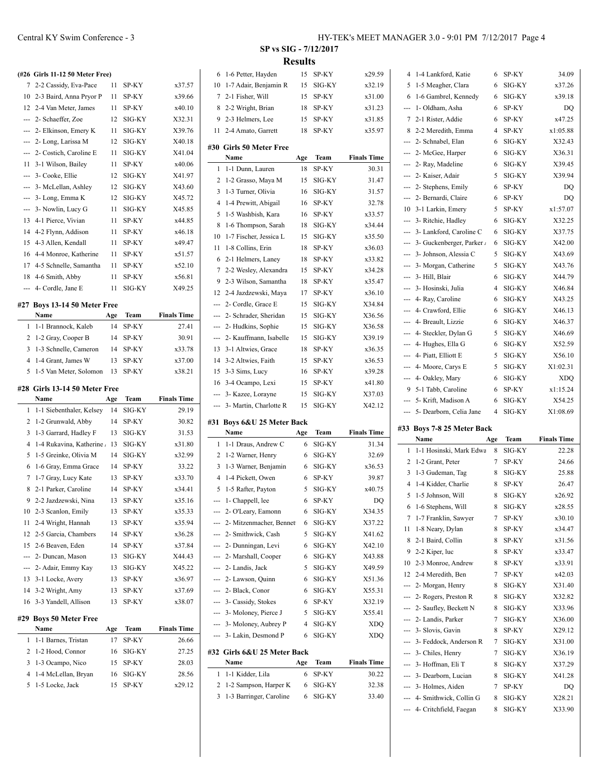|     | (#26 Girls 11-12 50 Meter Free)   |     |        |                    |
|-----|-----------------------------------|-----|--------|--------------------|
| 7   | 2-2 Cassidy, Eva-Pace             | 11  | SP-KY  | x37.57             |
|     | 10 2-3 Baird, Anna Pryor P        | 11  | SP-KY  | x39.66             |
| 12  | 2-4 Van Meter, James              | 11  | SP-KY  | x40.10             |
| --- | 2- Schaeffer, Zoe                 | 12  | SIG-KY | X32.31             |
| --- | 2- Elkinson, Emery K              | 11  | SIG-KY | X39.76             |
| --- | 2- Long, Larissa M                | 12  | SIG-KY | X40.18             |
| --- | 2- Costich, Caroline E            | 11  | SIG-KY | X41.04             |
| 11  | 3-1 Wilson, Bailey                | 11  | SP-KY  | x40.06             |
|     | --- 3- Cooke, Ellie               | 12  | SIG-KY | X41.97             |
| --- | 3- McLellan, Ashley               | 12  | SIG-KY | X43.60             |
| --- | 3- Long, Emma K                   | 12  | SIG-KY | X45.72             |
| --- | 3- Nowlin, Lucy G                 | 11  | SIG-KY | X45.85             |
| 13  | 4-1 Pierce, Vivian                | 11  | SP-KY  | x44.85             |
| 14  | 4-2 Flynn, Addison                | 11  | SP-KY  | x46.18             |
| 15  | 4-3 Allen, Kendall                | 11  | SP-KY  | x49.47             |
| 16  | 4-4 Monroe, Katherine             | 11  | SP-KY  | x51.57             |
| 17  | 4-5 Schnelle, Samantha            | 11  | SP-KY  | x52.10             |
| 18  | 4-6 Smith, Abby                   | 11  | SP-KY  | x56.81             |
| --- | 4- Cordle, Jane E                 | 11  | SIG-KY | X49.25             |
|     | #27 Boys 13-14 50 Meter Free      |     |        |                    |
|     | Name                              | Age | Team   | <b>Finals Time</b> |
| 1   | 1-1 Brannock, Kaleb               | 14  | SP-KY  | 27.41              |
| 2   | 1-2 Gray, Cooper B                | 14  | SP-KY  | 30.91              |
| 3   | 1-3 Schnelle, Cameron             | 14  | SP-KY  | x33.78             |
| 4   | 1-4 Grant, James W                | 13  | SP-KY  | x37.00             |
| 5   | 1-5 Van Meter, Solomon            | 13  | SP-KY  | x38.21             |
|     | #28 Girls 13-14 50 Meter Free     |     |        |                    |
|     | Name                              | Age | Team   | <b>Finals Time</b> |
| 1   | 1-1 Siebenthaler, Kelsey          | 14  | SIG-KY | 29.19              |
| 2   | 1-2 Grunwald, Abby                | 14  | SP-KY  | 30.82              |
| 3   | 1-3 Garrard, Hadley F             | 13  | SIG-KY | 31.53              |
| 4   | 1-4 Rukavina, Katherine           | 13  | SIG-KY | x31.80             |
| 5   | 1-5 Greinke, Olivia M             | 14  | SIG-KY | x32.99             |
| 6   | 1-6 Gray, Emma Grace              | 14  | SP-KY  | 33.22              |
| 7   | 1-7 Gray, Lucy Kate               | 13  | SP-KY  | x33.70             |
| 8   | 2-1 Parker, Caroline              | 14  | SP-KY  | x34.41             |
| 9   | 2-2 Jazdzewski, Nina              | 13  | SP-KY  | x35.16             |
| 10  | 2-3 Scanlon, Emily                | 13  | SP-KY  | x35.33             |
| 11  | 2-4 Wright, Hannah                | 13  | SP-KY  | x35.94             |
| 12  | 2-5 Garcia, Chambers              | 14  | SP-KY  | x36.28             |
| 15  | 2-6 Beaven, Eden                  | 14  | SP-KY  | x37.84             |
| --- | 2- Duncan, Mason                  | 13  | SIG-KY | X44.43             |
| --- | 2- Adair, Emmy Kay                | 13  | SIG-KY | X45.22             |
| 13  | 3-1 Locke, Avery                  | 13  | SP-KY  | x36.97             |
| 14  | 3-2 Wright, Amy                   | 13  | SP-KY  | x37.69             |
| 16  | 3-3 Yandell, Allison              | 13  | SP-KY  | x38.07             |
| #29 |                                   |     |        |                    |
|     | <b>Boys 50 Meter Free</b><br>Name | Age | Team   | <b>Finals Time</b> |
| 1   | 1-1 Barnes, Tristan               | 17  | SP-KY  | 26.66              |
|     |                                   |     |        |                    |

| 1 1-1 Barnes, Tristan | 17 | SP-KY     | 26.66  |
|-----------------------|----|-----------|--------|
| 2 1-2 Hood, Connor    |    | 16 SIG-KY | 27.25  |
| 3 1-3 Ocampo, Nico    |    | 15 SP-KY  | 28.03  |
| 4 1-4 McLellan, Bryan |    | 16 SIG-KY | 28.56  |
| 5 1-5 Locke, Jack     |    | 15 SP-KY  | x29.12 |
|                       |    |           |        |

|            | 6 1-6 Petter, Hayden                            | 15  | SP-KY       | x29.59             |                         | 4 1-4 Lankford, Katie                            | 6      |                                                                                 |
|------------|-------------------------------------------------|-----|-------------|--------------------|-------------------------|--------------------------------------------------|--------|---------------------------------------------------------------------------------|
|            |                                                 |     |             |                    |                         |                                                  |        | SP-KY                                                                           |
|            | 10 1-7 Adair, Benjamin R                        | 15  | SIG-KY      | x32.19             |                         | 5 1-5 Meagher, Clara                             | 6      | SIG-KY                                                                          |
|            | 7 2-1 Fisher, Will                              | 15  | SP-KY       | x31.00             |                         | 6 1-6 Gambrel, Kennedy                           | 6      | SIG-KY                                                                          |
|            | 8 2-2 Wright, Brian                             | 18  | SP-KY       | x31.23             | ---                     | 1- Oldham, Asha                                  | 6      | SP-KY                                                                           |
| 9          | 2-3 Helmers, Lee                                | 15  | SP-KY       | x31.85             | 7 2-1 Rister, Addie     |                                                  | 6      | SP-KY                                                                           |
|            | 11 2-4 Amato, Garrett                           | 18  | SP-KY       | x35.97             |                         | 8 2-2 Meredith, Emma                             | 4      | SP-KY                                                                           |
|            | #30 Girls 50 Meter Free                         |     |             |                    |                         | 2- Schnabel, Elan                                | 6      | SIG-KY                                                                          |
|            | Name                                            | Age | Team        | <b>Finals Time</b> | ---                     | 2- McGee, Harper                                 | 6      | SIG-KY                                                                          |
|            | 1 1-1 Dunn, Lauren                              | 18  | SP-KY       | 30.31              |                         | 2- Ray, Madeline                                 | 6      | SIG-KY                                                                          |
|            | 2 1-2 Grasso, Maya M                            | 15  | SIG-KY      | 31.47              |                         | 2- Kaiser, Adair                                 | 5      | SIG-KY                                                                          |
| 3          | 1-3 Turner, Olivia                              | 16  | SIG-KY      | 31.57              |                         | --- 2- Stephens, Emily                           | 6      | SP-KY                                                                           |
|            | 4 1-4 Prewitt, Abigail                          | 16  | SP-KY       | 32.78              |                         | --- 2- Bernardi, Claire                          | 6      | SP-KY                                                                           |
|            | 5 1-5 Washbish, Kara                            | 16  | SP-KY       | x33.57             |                         | 10 3-1 Larkin, Emery                             | 5      | SP-KY                                                                           |
| 8          | 1-6 Thompson, Sarah                             | 18  | SIG-KY      | x34.44             | --- 3- Ritchie, Hadley  |                                                  | 6      | SIG-KY                                                                          |
| 10         | 1-7 Fischer, Jessica L                          | 15  | SIG-KY      | x35.50             |                         | --- 3- Lankford, Caroline C                      | 6      | SIG-KY                                                                          |
| 11         | 1-8 Collins, Erin                               | 18  | SP-KY       | x36.03             | $\cdots$                | 3- Guckenberger, Parker /                        | 6      | SIG-KY                                                                          |
|            | 6 2-1 Helmers, Laney                            | 18  | SP-KY       | x33.82             |                         | --- 3- Johnson, Alessia C                        | 5      | SIG-KY                                                                          |
|            |                                                 | 15  | SP-KY       | x34.28             |                         | --- 3- Morgan, Catherine                         | 5      | SIG-KY                                                                          |
| 9          | 7 2-2 Wesley, Alexandra<br>2-3 Wilson, Samantha | 18  | SP-KY       |                    | --- 3- Hill, Blair      |                                                  | 6      | SIG-KY                                                                          |
|            |                                                 |     |             | x35.47<br>x36.10   | --- 3- Hosinski, Julia  |                                                  | 4      | SIG-KY                                                                          |
|            | 12 2-4 Jazdzewski, Maya                         | 17  | SP-KY       |                    | --- 4- Ray, Caroline    |                                                  | 6      | SIG-KY                                                                          |
|            | 2- Cordle, Grace E                              | 15  | SIG-KY      | X34.84             | --- 4- Crawford, Ellie  |                                                  | 6      | SIG-KY                                                                          |
|            | 2- Schrader, Sheridan                           | 15  | SIG-KY      | X36.56             | --- 4- Breault, Lizzie  |                                                  | 6      | SIG-KY                                                                          |
| ---        | 2- Hudkins, Sophie                              | 15  | SIG-KY      | X36.58             |                         | --- 4- Steckler, Dylan G                         | 5      | SIG-KY                                                                          |
| ---        | 2- Kauffmann, Isabelle                          | 15  | SIG-KY      | X39.19             | --- 4- Hughes, Ella G   |                                                  | 6      | SIG-KY                                                                          |
| 13         | 3-1 Altwies, Grace                              | 18  | SP-KY       | x36.35             | --- 4- Piatt, Elliott E |                                                  | 5      | SIG-KY                                                                          |
| 14         | 3-2 Altwies, Faith                              | 15  | SP-KY       | x36.53             |                         | --- 4- Moore, Carys E                            | 5      | SIG-KY                                                                          |
| 15         | 3-3 Sims, Lucy                                  | 16  | SP-KY       | x39.28             | ---                     | 4- Oakley, Mary                                  | 6      | SIG-KY                                                                          |
|            | 16 3-4 Ocampo, Lexi                             | 15  | SP-KY       | x41.80             |                         | 9 5-1 Tabb, Caroline                             | 6      | SP-KY                                                                           |
|            | 3- Kazee, Lorayne                               | 15  | SIG-KY      | X37.03             |                         |                                                  |        |                                                                                 |
|            |                                                 |     |             |                    |                         |                                                  | 6      | SIG-KY                                                                          |
|            | 3- Martin, Charlotte R                          | 15  | SIG-KY      | X42.12             | --- 5- Krift, Madison A | --- 5- Dearborn, Celia Jane                      | 4      | SIG-KY                                                                          |
|            | #31 Boys 6&U 25 Meter Back                      |     |             |                    |                         |                                                  |        |                                                                                 |
|            | Name                                            | Age | <b>Team</b> | <b>Finals Time</b> |                         | #33 Boys 7-8 25 Meter Back                       |        |                                                                                 |
|            | 1 1-1 Draus, Andrew C                           | 6   | SIG-KY      | 31.34              | Name                    |                                                  | Age    | Team                                                                            |
|            | 2 1-2 Warner, Henry                             | 6   | SIG-KY      | 32.69              |                         | 1 1-1 Hosinski, Mark Edwa                        | 8      | SIG-KY                                                                          |
|            | 3 1-3 Warner, Benjamin                          | 6   | SIG-KY      | x36.53             | 2 1-2 Grant, Peter      |                                                  | 7      | SP-KY                                                                           |
|            | 4 1-4 Pickett, Owen                             | 6   | SP-KY       | 39.87              |                         | 3 1-3 Gudeman, Tag                               | 8      | SIG-KY                                                                          |
|            | 5 1-5 Rafter, Payton                            | 5   | SIG-KY      | x40.75             | 4                       | 1-4 Kidder, Charlie                              | 8      | SP-KY                                                                           |
|            | --- 1 - Chappell, lee                           | 6   | SP-KY       | DO                 |                         | 5 1-5 Johnson, Will                              | 8      | SIG-KY                                                                          |
|            | --- 2- O'Leary, Eamonn                          | 6   | SIG-KY      | X34.35             |                         | 6 1-6 Stephens, Will                             | 8      | SIG-KY                                                                          |
|            | 2- Mitzenmacher, Bennet                         | 6   | SIG-KY      | X37.22             |                         | 7 1-7 Franklin, Sawyer                           | 7      | SP-KY                                                                           |
|            | 2- Smithwick, Cash                              | 5   | SIG-KY      | X41.62             | 11 1-8 Neary, Dylan     |                                                  | 8      | SP-KY                                                                           |
| ---        | 2- Dunningan, Levi                              | 6   | SIG-KY      | X42.10             |                         | 8 2-1 Baird, Collin                              | 8      | SP-KY                                                                           |
|            | 2- Marshall, Cooper                             | 6   | SIG-KY      | X43.88             | 9 2-2 Kiper, luc        |                                                  | 8      | SP-KY                                                                           |
| ---        | 2- Landis, Jack                                 | 5   | SIG-KY      | X49.59             |                         | 10 2-3 Monroe, Andrew                            | 8      | SP-KY                                                                           |
|            | 2- Lawson, Quinn                                | 6   | SIG-KY      | X51.36             |                         | 12 2-4 Meredith, Ben                             | 7      | SP-KY                                                                           |
| ---        | 2- Black, Conor                                 | 6   | SIG-KY      | X55.31             | --- 2- Morgan, Henry    |                                                  | 8      |                                                                                 |
|            | 3- Cassidy, Stokes                              | 6   | SP-KY       | X32.19             | $\cdots$                | 2- Rogers, Preston R                             | 8      |                                                                                 |
|            | 3- Moloney, Pierce J                            | 5   | SIG-KY      | X55.41             | $\cdots$                | 2- Saufley, Beckett N                            | 8      |                                                                                 |
|            | 3- Moloney, Aubrey P                            | 4   | SIG-KY      | <b>XDQ</b>         | $\scriptstyle\cdots$    | 2- Landis, Parker                                | 7      | SIG-KY<br>SIG-KY                                                                |
|            | 3- Lakin, Desmond P                             | 6   | SIG-KY      | XDQ                | ---                     | 3- Slovis, Gavin                                 | 8      | SP-KY                                                                           |
| ---<br>--- |                                                 |     |             |                    |                         | --- 3- Feddock, Anderson R                       | 7      |                                                                                 |
| ---        | #32 Girls 6&U 25 Meter Back                     |     |             |                    | --- 3- Chiles, Henry    |                                                  | 7      |                                                                                 |
|            | Name                                            | Age | Team        | <b>Finals Time</b> | --- 3- Hoffman, Eli T   |                                                  | 8      |                                                                                 |
|            | 1 1-1 Kidder, Lila                              | 6   | SP-KY       | 30.22              | $\cdots$                | 3- Dearborn, Lucian                              | 8      |                                                                                 |
|            | 2 1-2 Sampson, Harper K                         | 6   | SIG-KY      | 32.38              | $\sim$                  | 3- Holmes, Aiden                                 | 7      | SIG-KY<br>SIG-KY<br>SIG-KY<br>SIG-KY<br>SIG-KY<br>$_{\mathrm{SIG-KY}}$<br>SP-KY |
|            | 3 1-3 Barringer, Caroline                       | 6   | SIG-KY      | 33.40              |                         | 4- Smithwick, Collin G<br>4- Critchfield, Faegan | 8<br>8 | SIG-KY<br>SIG-KY                                                                |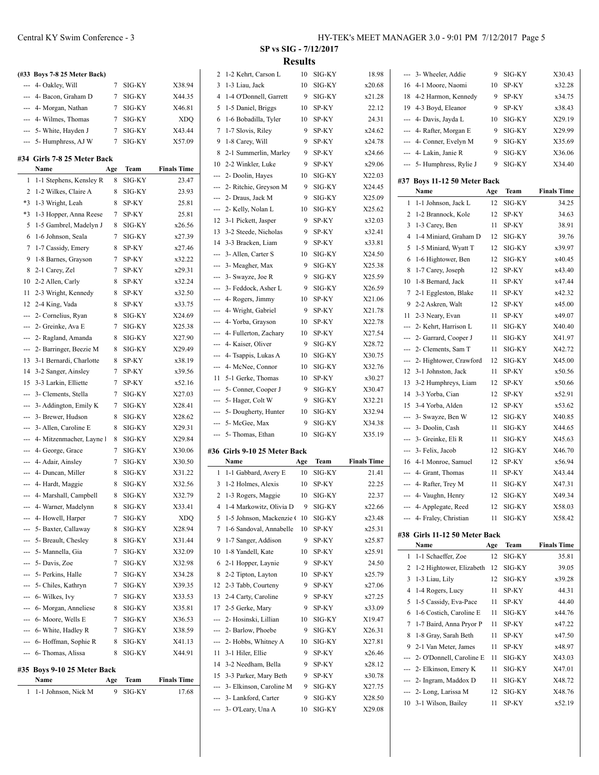|      | (#33 Boys 7-8 25 Meter Back) |          |        |                    |
|------|------------------------------|----------|--------|--------------------|
| ---  | 4- Oakley, Will              | 7        | SIG-KY | X38.94             |
| ---  | 4- Bacon, Graham D           | 7        | SIG-KY | X44.35             |
|      | --- 4- Morgan, Nathan        | 7        | SIG-KY | X46.81             |
|      | --- 4- Wilmes, Thomas        | 7        | SIG-KY | XDQ                |
| ---  | 5- White, Hayden J           | 7        | SIG-KY | X43.44             |
| ---  | 5- Humphress, AJ W           | 7        | SIG-KY | X57.09             |
|      | #34  Girls 7-8 25 Meter Back |          |        |                    |
|      | Name                         | Age      | Team   | <b>Finals Time</b> |
| 1    | 1-1 Stephens, Kensley R      | 8        | SIG-KY | 23.47              |
| 2    | 1-2 Wilkes, Claire A         | 8        | SIG-KY | 23.93              |
| *3   | 1-3 Wright, Leah             | 8        | SP-KY  | 25.81              |
| $*3$ | 1-3 Hopper, Anna Reese       | 7        | SP-KY  | 25.81              |
| 5    | 1-5 Gambrel, Madelyn J       | 8        | SIG-KY | x26.56             |
| 6    | 1-6 Johnson, Seala           | 7        | SIG-KY | x27.39             |
| 7    | 1-7 Cassidy, Emery           | 8        | SP-KY  | x27.46             |
| 9    | 1-8 Barnes, Grayson          | 7        | SP-KY  | x32.22             |
| 8    | 2-1 Carey, Zel               | 7        | SP-KY  | x29.31             |
| 10   | 2-2 Allen, Carly             | 8        | SP-KY  | x32.24             |
| 11   | 2-3 Wright, Kennedy          | 8        | SP-KY  | x32.50             |
| 12   | 2-4 King, Vada               | 8        | SP-KY  | x33.75             |
| ---  | 2- Cornelius, Ryan           | 8        | SIG-KY | X24.69             |
| ---  | 2- Greinke, Ava E            | 7        | SIG-KY | X25.38             |
| ---  | 2- Ragland, Amanda           | 8        | SIG-KY | X27.90             |
| ---  | 2- Barringer, Beezie M       | 8        | SIG-KY | X29.49             |
| 13   | 3-1 Bernardi, Charlotte      | 8        | SP-KY  | x38.19             |
| 14   | 3-2 Sanger, Ainsley          | 7        | SP-KY  | x39.56             |
| 15   | 3-3 Larkin, Elliette         | 7        | SP-KY  | x52.16             |
| ---  | 3- Clements, Stella          | 7        | SIG-KY | X27.03             |
| ---  | 3-Addington, Emily K         | 7        | SIG-KY | X28.41             |
| ---  | 3- Brewer, Hudson            | 8        | SIG-KY | X28.62             |
|      | 3- Allen, Caroline E         | 8        | SIG-KY | X29.31             |
| ---  | 4- Mitzenmacher, Layne l     | 8        | SIG-KY | X29.84             |
| ---  | 4- George, Grace             | 7        | SIG-KY | X30.06             |
| ---  | 4- Adair, Ainsley            | 7        | SIG-KY | X30.50             |
| ---  | 4- Duncan, Miller            | 8        | SIG-KY | X31.22             |
| ---  | 4- Hardt, Maggie             | 8        | SIG-KY | X32.56             |
| ---  | 4- Marshall, Campbell        | 8        | SIG-KY | X32.79             |
| ---  | 4- Warner, Madelynn          | 8        | SIG-KY | X33.41             |
| ---  | 4- Howell, Harper            | 7        | SIG-KY | XDQ                |
|      | 5- Baxter, Callaway          | 8        | SIG-KY | X28.94             |
| ---  | 5- Breault, Chesley          | 8        | SIG-KY | X31.44             |
| ---  | 5- Mannella, Gia             | 7        | SIG-KY | X32.09             |
| ---  | 5- Davis, Zoe                | 7        | SIG-KY | X32.98             |
| ---  | 5- Perkins, Halle            | 7        | SIG-KY | X34.28             |
| ---  | 5- Chiles, Kathryn           | 7        | SIG-KY | X39.35             |
| ---  | 6- Wilkes, Ivy               | 7        | SIG-KY | X33.53             |
| ---  | 6- Morgan, Anneliese         | 8        | SIG-KY | X35.81             |
| ---  | 6- Moore, Wells E            | 7        | SIG-KY | X36.53             |
| ---  | 6- White, Hadley R           | 7        | SIG-KY | X38.59             |
| ---  | 6- Hoffman, Sophie R         | 8        | SIG-KY | X41.13             |
| ---  | 6- Thomas, Alissa            | 8        | SIG-KY | X44.91             |
|      |                              |          |        |                    |
| #35  | Boys 9-10 25 Meter Back      |          |        |                    |
|      | Name                         | Age<br>9 | Team   | <b>Finals Time</b> |
| 1    | 1-1 Johnson, Nick M          |          | SIG-KY | 17.68              |

|          | 2 1-2 Kehrt, Carson L                        | 10      | SIG-KY           | 18.98              | --- 3- Wheeler, Addie<br>9<br>SIG-KY<br>X30.43                          |
|----------|----------------------------------------------|---------|------------------|--------------------|-------------------------------------------------------------------------|
|          | 3 1-3 Liau, Jack                             | 10      | SIG-KY           | x20.68             | 16 4-1 Moore, Naomi<br>10<br>SP-KY<br>x32.28                            |
| 4        | 1-4 O'Donnell, Garrett                       | 9       | SIG-KY           | x21.28             | 18 4-2 Harmon, Kennedy<br>SP-KY<br>x34.75<br>9                          |
| 5        | 1-5 Daniel, Briggs                           | 10      | SP-KY            | 22.12              | 19<br>4-3 Boyd, Eleanor<br>SP-KY<br>x38.43<br>9                         |
| 6        | 1-6 Bobadilla, Tyler                         | 10      | SP-KY            | 24.31              | X29.19<br>4- Davis, Jayda L<br>10<br>SIG-KY<br>---                      |
|          | 7 1-7 Slovis, Riley                          | 9       | SP-KY            | x24.62             | 4- Rafter, Morgan E<br>X29.99<br>9<br>SIG-KY<br>---                     |
| 9        | 1-8 Carey, Will                              | 9       | SP-KY            | x24.78             | 4- Conner, Evelyn M<br>9<br>SIG-KY<br>X35.69<br>---                     |
| 8        | 2-1 Summerlin, Marley                        | 9       | SP-KY            | x24.66             | 4- Lakin, Janie R<br>9<br>SIG-KY<br>X36.06                              |
|          | 10 2-2 Winkler, Luke                         | 9       | SP-KY            | x29.06             | 5- Humphress, Rylie J<br>9<br>SIG-KY<br>X34.40                          |
|          | --- 2- Doolin, Hayes                         | 10      | SIG-KY           | X22.03             |                                                                         |
|          | 2- Ritchie, Greyson M                        | 9       | SIG-KY           | X24.45             | #37 Boys 11-12 50 Meter Back                                            |
| ---      | 2- Draus, Jack M                             | 9       | SIG-KY           | X25.09             | Name<br>Team<br><b>Finals Time</b><br>Age                               |
| ---      | 2- Kelly, Nolan L                            | 10      | SIG-KY           | X25.62             | 1 1-1 Johnson, Jack L<br>SIG-KY<br>12<br>34.25                          |
| 12       | 3-1 Pickett, Jasper                          | 9       | SP-KY            | x32.03             | 1-2 Brannock, Kole<br>SP-KY<br>12<br>34.63<br>2                         |
| 13       | 3-2 Steede, Nicholas                         | 9       | SP-KY            | x32.41             | 1-3 Carey, Ben<br>3<br>11<br>SP-KY<br>38.91                             |
| 14       | 3-3 Bracken, Liam                            | 9       | SP-KY            | x33.81             | 1-4 Miniard, Graham D<br>12<br>SIG-KY<br>39.76<br>4                     |
| ---      | 3- Allen, Carter S                           | 10      | SIG-KY           | X24.50             | 1-5 Miniard, Wyatt T<br>SIG-KY<br>12<br>x39.97<br>5                     |
| ---      | 3- Meagher, Max                              | 9       | SIG-KY           | X25.38             | 1-6 Hightower, Ben<br>12<br>SIG-KY<br>x40.45<br>6                       |
| $\cdots$ | 3- Swayze, Joe R                             | 9       | SIG-KY           | X25.59             | 1-7 Carey, Joseph<br>SP-KY<br>8<br>12<br>x43.40                         |
|          | 3- Feddock, Asher L                          | 9       | SIG-KY           | X26.59             | 10 1-8 Bernard, Jack<br>SP-KY<br>x47.44<br>11                           |
|          | 4- Rogers, Jimmy                             | 10      | SP-KY            | X21.06             | 2-1 Eggleston, Blake<br>SP-KY<br>x42.32<br>7<br>11                      |
|          | --- 4- Wright, Gabriel                       | 9       | SP-KY            | X21.78             | 9<br>2-2 Askren, Walt<br>12<br>SP-KY<br>x45.00                          |
|          | --- 4- Yorba, Grayson                        | 10      | SP-KY            | X22.78             | 2-3 Neary, Evan<br>SP-KY<br>x49.07<br>11<br>11                          |
|          | --- 4- Fullerton, Zachary                    | 10      | SP-KY            | X27.54             | 2- Kehrt, Harrison L<br>SIG-KY<br>X40.40<br>11<br>---                   |
|          | --- 4- Kaiser, Oliver                        | 9       | SIG-KY           | X28.72             | 2- Garrard, Cooper J<br>SIG-KY<br>X41.97<br>11<br>---                   |
|          | --- 4- Tsappis, Lukas A                      | 10      | SIG-KY           | X30.75             | 2- Clements, Sam T<br>11<br>SIG-KY<br>X42.72                            |
|          | 4- McNee, Connor                             | 10      | SIG-KY           | X32.76             | 2- Hightower, Crawford<br>12<br>SIG-KY<br>X45.00<br>---                 |
| 11       | 5-1 Gerke, Thomas                            | 10      | SP-KY            | x30.27             | 12 3-1 Johnston, Jack<br>SP-KY<br>x50.56<br>11                          |
| ---      | 5- Conner, Cooper J                          | 9       | SIG-KY           | X30.47             | 13 3-2 Humphreys, Liam<br>12<br>SP-KY<br>x50.66                         |
| ---      | 5- Hager, Colt W                             | 9       | SIG-KY           | X32.21             | 14 3-3 Yorba, Cian<br>SP-KY<br>x52.91<br>12                             |
| ---      | 5- Dougherty, Hunter                         | 10      | SIG-KY           | X32.94             | 15 3-4 Yorba, Alden<br>SP-KY<br>x53.62<br>12                            |
|          | 5- McGee, Max                                | 9       | SIG-KY           | X34.38             | 3- Swayze, Ben W<br>SIG-KY<br>X40.85<br>12                              |
|          | 5- Thomas, Ethan                             | 10      | SIG-KY           | X35.19             | --- 3- Doolin, Cash<br>SIG-KY<br>X44.65<br>11                           |
|          |                                              |         |                  |                    | 3- Greinke, Eli R<br>SIG-KY<br>X45.63<br>11                             |
|          | #36 Girls 9-10 25 Meter Back                 |         |                  |                    | 3- Felix, Jacob<br>12<br>SIG-KY<br>X46.70<br>---                        |
|          | Name                                         | Age     | Team             | <b>Finals Time</b> | 4-1 Monroe, Samuel<br>12<br>SP-KY<br>x56.94<br>16                       |
|          | 1 1-1 Gabbard, Avery E                       | 10      | SIG-KY           | 21.41              | 4- Grant, Thomas<br>SP-KY<br>X43.44<br>11<br>---                        |
|          | 3 1-2 Holmes, Alexis                         | 10      | SP-KY            | 22.25              | 4- Rafter, Trey M<br>SIG-KY<br>X47.31<br>11                             |
|          | 2 1-3 Rogers, Maggie                         | 10      | SIG-KY           | 22.37              | X49.34<br>--- 4- Vaughn, Henry<br>12 SIG-KY                             |
|          | 4 1-4 Markowitz, Olivia D                    | 9       |                  |                    |                                                                         |
|          |                                              |         | SIG-KY           | x22.66             | 12 SIG-KY<br>X58.03<br>--- 4- Applegate, Reed                           |
|          | 5 1-5 Johnson, Mackenzie (10                 |         | SIG-KY           | x23.48             | --- 4- Fraley, Christian<br>11 SIG-KY<br>X58.42                         |
|          | 7 1-6 Sandoval, Annabelle                    | 10      | SP-KY            | x25.31             | #38 Girls 11-12 50 Meter Back                                           |
|          | 9 1-7 Sanger, Addison                        | 9       | SP-KY            | x25.87             | <b>Finals Time</b><br>Team<br>Name<br>Age                               |
|          | 10 1-8 Yandell, Kate                         | 10      | SP-KY            | x25.91             | 1 1-1 Schaeffer, Zoe<br>12 SIG-KY<br>35.81                              |
|          | 6 2-1 Hopper, Laynie                         | 9       | SP-KY            | 24.50              | 2 1-2 Hightower, Elizabeth 12<br>SIG-KY<br>39.05                        |
| 8        | 2-2 Tipton, Layton                           | 10      | SP-KY            | x25.79             | 1-3 Liau, Lily<br>3<br>12<br>SIG-KY<br>x39.28                           |
|          | 12 2-3 Tabb, Courteny                        | 9       | SP-KY            | x27.06             | 1-4 Rogers, Lucy<br>SP-KY<br>44.31<br>4<br>11                           |
|          | 13 2-4 Carty, Caroline                       | 9       | SP-KY            | x27.25             | 1-5 Cassidy, Eva-Pace<br>SP-KY<br>44.40<br>5<br>11                      |
|          | 17 2-5 Gerke, Mary                           | 9       | SP-KY            | x33.09             | 1-6 Costich, Caroline E<br>SIG-KY<br>x44.76<br>6<br>11                  |
|          | 2- Hosinski, Lillian                         | 10      | SIG-KY           | X19.47             | 1-7 Baird, Anna Pryor P<br>SP-KY<br>x47.22<br>7<br>11                   |
|          | 2- Barlow, Phoebe                            | 9       | SIG-KY           | X26.31             | 1-8 Gray, Sarah Beth<br>SP-KY<br>x47.50<br>8<br>11                      |
| ---      | 2- Hobbs, Whitney A                          | 10      | SIG-KY           | X27.81             | 2-1 Van Meter, James<br>SP-KY<br>x48.97<br>9<br>11                      |
|          | 11 3-1 Hiler, Ellie                          | 9       | SP-KY            | x26.46             | 2- O'Donnell, Caroline E<br>SIG-KY<br>X43.03<br>11<br>---               |
|          | 14 3-2 Needham, Bella                        | 9       | SP-KY            | x28.12             | 2- Elkinson, Emery K<br>SIG-KY<br>X47.01<br>11                          |
|          | 15 3-3 Parker, Mary Beth                     | 9       | SP-KY            | x30.78             | 2- Ingram, Maddox D<br>SIG-KY<br>X48.72<br>11<br>---                    |
|          | 3- Elkinson, Caroline M                      | 9       | SIG-KY           | X27.75             | SIG-KY<br>12<br>X48.76                                                  |
| ---      | 3- Lankford, Carter<br>--- 3- O'Leary, Una A | 9<br>10 | SIG-KY<br>SIG-KY | X28.50<br>X29.08   | 2- Long, Larissa M<br>SP-KY<br>10<br>3-1 Wilson, Bailey<br>x52.19<br>11 |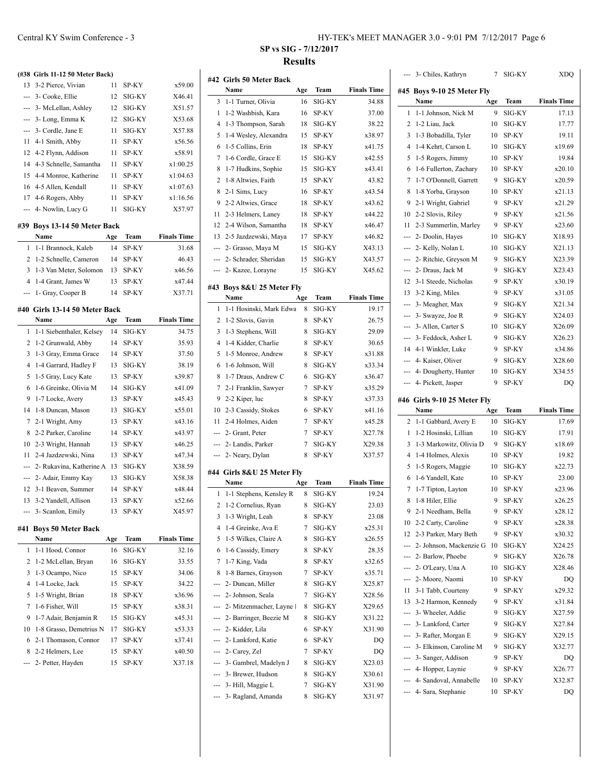| HY-TEK's MEET MANAGER 3.0 - 9:01 PM 7/12/2017 Page 6 |  |  |
|------------------------------------------------------|--|--|
|------------------------------------------------------|--|--|

|         | (#38 Girls 11-12 50 Meter Back)       |     |        |                    |
|---------|---------------------------------------|-----|--------|--------------------|
| 13      | 3-2 Pierce, Vivian                    | 11  | SP-KY  | x59.00             |
| $- - -$ | 3- Cooke, Ellie                       | 12  | SIG-KY | X46.41             |
| ---     | 3- McLellan, Ashley                   | 12  | SIG-KY | X51.57             |
| ---     | 3- Long, Emma K                       | 12  | SIG-KY | X53.68             |
| ---     | 3- Cordle, Jane E                     | 11  | SIG-KY | X57.88             |
| 11      | 4-1 Smith, Abby                       | 11  | SP-KY  | x56.56             |
| 12      | 4-2 Flynn, Addison                    | 11  | SP-KY  | x58.91             |
| 14      | 4-3 Schnelle, Samantha                | 11  | SP-KY  | x1:00.25           |
| 15      | 4-4 Monroe, Katherine                 | 11  | SP-KY  | x1:04.63           |
| 16      | 4-5 Allen, Kendall                    | 11  | SP-KY  | x1:07.63           |
| 17      | 4-6 Rogers, Abby                      | 11  | SP-KY  | x1:16.56           |
| ---     | 4- Nowlin, Lucy G                     | 11  | SIG-KY | X57.97             |
|         | #39 Boys 13-14 50 Meter Back          |     |        |                    |
|         | Name                                  | Age | Team   | <b>Finals Time</b> |
| 1       | 1-1 Brannock, Kaleb                   | 14  | SP-KY  | 31.68              |
| 2       | 1-2 Schnelle, Cameron                 | 14  | SP-KY  | 46.43              |
| 3       | 1-3 Van Meter, Solomon                | 13  | SP-KY  | x46.56             |
| 4       | 1-4 Grant, James W                    | 13  | SP-KY  | x47.44             |
| ---     | 1- Gray, Cooper B                     | 14  | SP-KY  | X37.71             |
|         |                                       |     |        |                    |
|         | #40 Girls 13-14 50 Meter Back<br>Name | Age | Team   | <b>Finals Time</b> |
| 1       | 1-1 Siebenthaler, Kelsey              | 14  | SIG-KY | 34.75              |
| 2       | 1-2 Grunwald, Abby                    | 14  | SP-KY  | 35.93              |
| 3       | 1-3 Gray, Emma Grace                  | 14  | SP-KY  | 37.50              |
| 4       | 1-4 Garrard, Hadley F                 | 13  | SIG-KY | 38.19              |
| 5       | 1-5 Gray, Lucy Kate                   | 13  | SP-KY  | x39.87             |
| 6       | 1-6 Greinke, Olivia M                 | 14  | SIG-KY | x41.09             |
| 9       | 1-7 Locke, Avery                      | 13  | SP-KY  | x45.43             |
| 14      | 1-8 Duncan, Mason                     | 13  | SIG-KY | x55.01             |
| 7       | 2-1 Wright, Amy                       | 13  | SP-KY  | x43.16             |
| 8       | 2-2 Parker, Caroline                  | 14  | SP-KY  | x43.97             |
| 10      | 2-3 Wright, Hannah                    | 13  | SP-KY  | x46.25             |
| 11      | 2-4 Jazdzewski, Nina                  | 13  | SP-KY  | x47.34             |
| ---     | 2- Rukavina, Katherine A              | 13  | SIG-KY | X38.59             |
| ---     | 2- Adair, Emmy Kay                    | 13  | SIG-KY | X58.38             |
| 12      | 3-1 Beaven, Summer                    | 14  | SP-KY  | x48.44             |
| 13      | 3-2 Yandell, Allison                  | 13  | SP-KY  | x52.66             |
|         | 3- Scanlon, Emily                     | 13  | SP-KY  | X45.97             |
|         |                                       |     |        |                    |
| #41     | <b>Boys 50 Meter Back</b>             |     |        |                    |
|         | Name                                  | Age | Team   | <b>Finals Time</b> |
| 1       | 1-1 Hood, Connor                      | 16  | SIG-KY | 32.16              |
| 2       | 1-2 McLellan, Bryan                   | 16  | SIG-KY | 33.55              |
| 3       | 1-3 Ocampo, Nico                      | 15  | SP-KY  | 34.06              |
| 4       | 1-4 Locke, Jack                       | 15  | SP-KY  | 34.22              |
| 5       | 1-5 Wright, Brian                     | 18  | SP-KY  | x36.96             |
| 7       | 1-6 Fisher, Will                      | 15  | SP-KY  | x38.31             |
| 9       | 1-7 Adair, Benjamin R                 | 15  | SIG-KY | x45.31             |
| 10      | 1-8 Grasso, Demetrius N               | 17  | SIG-KY | x53.33             |
| 6       | 2-1 Thomason, Connor                  | 17  | SP-KY  | x37.41             |
| 8       | 2-2 Helmers, Lee                      | 15  | SP-KY  | x40.50             |
| ---     | 2- Petter, Hayden                     | 15  | SP-KY  | X37.18             |

|                | #42 Girls 50 Meter Back                     |        |                 |                    |
|----------------|---------------------------------------------|--------|-----------------|--------------------|
|                | Name                                        | Age    | Team            | <b>Finals Time</b> |
| 3              | 1-1 Turner, Olivia                          | 16     | SIG-KY          | 34.88              |
| 1              | 1-2 Washbish, Kara                          | 16     | SP-KY           | 37.00              |
| $\overline{4}$ | 1-3 Thompson, Sarah                         | 18     | SIG-KY          | 38.22              |
| 5              | 1-4 Wesley, Alexandra                       | 15     | SP-KY           | x38.97             |
| 6              | 1-5 Collins, Erin                           | 18     | SP-KY           | x41.75             |
| 7              | 1-6 Cordle, Grace E                         | 15     | SIG-KY          | x42.55             |
| 8              | 1-7 Hudkins, Sophie                         | 15     | SIG-KY          | x43.41             |
| 2              | 1-8 Altwies, Faith                          | 15     | SP-KY           | 43.82              |
| 8              | 2-1 Sims, Lucy                              | 16     | SP-KY           | x43.54             |
| 9              | 2-2 Altwies, Grace                          | 18     | SP-KY           | x43.62             |
| 11             | 2-3 Helmers, Laney                          | 18     | SP-KY           | x44.22             |
| 12             | 2-4 Wilson, Samantha                        | 18     | SP-KY           | x46.47             |
| 13             | 2-5 Jazdzewski, Maya                        | 17     | SP-KY           | x46.82             |
| ---            | 2- Grasso, Maya M                           | 15     | SIG-KY          | X43.13             |
| ---            | 2- Schrader, Sheridan                       | 15     | SIG-KY          | X43.57             |
| ---            | 2- Kazee, Lorayne                           | 15     | SIG-KY          | X45.62             |
|                | #43 Boys 8&U 25 Meter Fly<br>Name           | Age    | Team            | <b>Finals Time</b> |
| 1              | 1-1 Hosinski, Mark Edwa                     | 8      | SIG-KY          | 19.17              |
| 2              | 1-2 Slovis, Gavin                           | 8      | SP-KY           | 26.75              |
| 3              | 1-3 Stephens, Will                          | 8      | SIG-KY          | 29.09              |
| $\overline{4}$ | 1-4 Kidder, Charlie                         | 8      | SP-KY           | 30.65              |
| 5              | 1-5 Monroe, Andrew                          | 8      | SP-KY           | x31.88             |
| 6              | 1-6 Johnson, Will                           | 8      | SIG-KY          | x33.34             |
|                |                                             |        |                 | x36.47             |
| 8<br>7         | 1-7 Draus, Andrew C<br>2-1 Franklin, Sawyer | 6<br>7 | SIG-KY<br>SP-KY | x35.29             |
| 9              |                                             | 8      | SP-KY           | x37.33             |
| 10             | 2-2 Kiper, luc<br>2-3 Cassidy, Stokes       | 6      | SP-KY           | x41.16             |
| 11             | 2-4 Holmes, Aiden                           | 7      | SP-KY           | x45.28             |
| ---            | 2- Grant, Peter                             | 7      | SP-KY           | X27.78             |
| ---            | 2- Landis, Parker                           | 7      | SIG-KY          | X29.38             |
| ---            | 2- Neary, Dylan                             | 8      | SP-KY           | X37.57             |
|                |                                             |        |                 |                    |
|                | #44 Girls 8&U 25 Meter Fly<br>Name          | Age    | Team            | <b>Finals Time</b> |
| 1              | 1-1 Stephens, Kensley R                     | 8      | SIG-KY          | 19.24              |
| 2              | 1-2 Cornelius, Ryan                         | 8      | SIG-KY          | 23.03              |
| 3              | 1-3 Wright, Leah                            | 8      | SP-KY           |                    |
| 4              | 1-4 Greinke, Ava E                          | 7      | SIG-KY          | 23.08<br>x25.31    |
| 5              | 1-5 Wilkes, Claire A                        | 8      | SIG-KY          | x26.55             |
|                | 1-6 Cassidy, Emery                          |        |                 | 28.35              |
| 6              | 1-7 King, Vada                              | 8<br>8 | SP-KY           | x32.65             |
| 7              | 1-8 Barnes, Grayson                         |        | SP-KY           | x35.71             |
| 8              | 2- Duncan, Miller                           | 7      | SP-KY           |                    |
| ---            |                                             | 8      | SIG-KY          | X25.87             |
| ---            | 2- Johnson, Seala                           | 7      | SIG-KY          | X28.56             |
|                | --- 2- Mitzenmacher, Layne l                | 8      | SIG-KY          | X29.65             |
|                | --- 2- Barringer, Beezie M                  | 8      | SIG-KY          | X31.22             |
| ---            | 2- Kidder, Lila                             | 6      | SP-KY           | X31.90             |
| ---            | 2- Lankford, Katie                          | 6      | SP-KY           | DQ                 |
| ---            | 2- Carey, Zel                               | 7      | SP-KY           | DQ                 |
| ---            | 3- Gambrel, Madelyn J                       | 8      | SIG-KY          | X23.03             |
|                | --- 3- Brewer, Hudson                       | 8      | SIG-KY          | X30.61             |
|                | --- 3- Hill, Maggie L                       | 7      | SIG-KY          | X31.90             |
| ---            | 3- Ragland, Amanda                          | 8      | SIG-KY          | X31.97             |

|                                                                                                                                                                                                                                                                                                                                                                                                                                                                            | 3- Chiles, Kathryn                           | 7        | SIG-KY         | XDQ                |
|----------------------------------------------------------------------------------------------------------------------------------------------------------------------------------------------------------------------------------------------------------------------------------------------------------------------------------------------------------------------------------------------------------------------------------------------------------------------------|----------------------------------------------|----------|----------------|--------------------|
|                                                                                                                                                                                                                                                                                                                                                                                                                                                                            | #45 Boys 9-10 25 Meter Fly                   |          |                |                    |
|                                                                                                                                                                                                                                                                                                                                                                                                                                                                            | Name                                         | Age      | Team           | <b>Finals Time</b> |
| 1                                                                                                                                                                                                                                                                                                                                                                                                                                                                          | 1-1 Johnson, Nick M                          | 9        | SIG-KY         | 17.13              |
| 2                                                                                                                                                                                                                                                                                                                                                                                                                                                                          | 1-2 Liau, Jack                               | 10       | SIG-KY         | 17.77              |
| 3                                                                                                                                                                                                                                                                                                                                                                                                                                                                          | 1-3 Bobadilla, Tyler                         | 10       | SP-KY          | 19.11              |
| 4                                                                                                                                                                                                                                                                                                                                                                                                                                                                          | 1-4 Kehrt, Carson L                          | 10       | SIG-KY         | x19.69             |
| 5                                                                                                                                                                                                                                                                                                                                                                                                                                                                          | 1-5 Rogers, Jimmy                            | 10       | SP-KY          | 19.84              |
| 6                                                                                                                                                                                                                                                                                                                                                                                                                                                                          | 1-6 Fullerton, Zachary                       | 10       | SP-KY          | x20.10             |
| 7                                                                                                                                                                                                                                                                                                                                                                                                                                                                          | 1-7 O'Donnell, Garrett                       | 9        | SIG-KY         | x20.59             |
| 8                                                                                                                                                                                                                                                                                                                                                                                                                                                                          | 1-8 Yorba, Grayson                           | 10       | SP-KY          | x21.13             |
| 9                                                                                                                                                                                                                                                                                                                                                                                                                                                                          | 2-1 Wright, Gabriel                          | 9        | SP-KY          | x21.29             |
| 10                                                                                                                                                                                                                                                                                                                                                                                                                                                                         | 2-2 Slovis, Riley                            | 9        | SP-KY          | x21.56             |
| 11                                                                                                                                                                                                                                                                                                                                                                                                                                                                         | 2-3 Summerlin, Marley                        | 9        | SP-KY          | x23.60             |
| ---                                                                                                                                                                                                                                                                                                                                                                                                                                                                        | 2- Doolin, Hayes                             | 10       | SIG-KY         | X18.93             |
| ---                                                                                                                                                                                                                                                                                                                                                                                                                                                                        | 2- Kelly, Nolan L                            | 10       | SIG-KY         | X21.13             |
| ---                                                                                                                                                                                                                                                                                                                                                                                                                                                                        | 2- Ritchie, Greyson M                        | 9        | SIG-KY         | X23.39             |
| $\frac{1}{2} \left( \frac{1}{2} \right) \left( \frac{1}{2} \right) \left( \frac{1}{2} \right) \left( \frac{1}{2} \right) \left( \frac{1}{2} \right) \left( \frac{1}{2} \right) \left( \frac{1}{2} \right) \left( \frac{1}{2} \right) \left( \frac{1}{2} \right) \left( \frac{1}{2} \right) \left( \frac{1}{2} \right) \left( \frac{1}{2} \right) \left( \frac{1}{2} \right) \left( \frac{1}{2} \right) \left( \frac{1}{2} \right) \left( \frac{1}{2} \right) \left( \frac$ | 2- Draus, Jack M                             | 9        | SIG-KY         | X23.43             |
| 12                                                                                                                                                                                                                                                                                                                                                                                                                                                                         | 3-1 Steede, Nicholas                         | 9        | SP-KY          | x30.19             |
| 13                                                                                                                                                                                                                                                                                                                                                                                                                                                                         | 3-2 King, Miles                              | 9        | SP-KY          | x31.05             |
| $ -$                                                                                                                                                                                                                                                                                                                                                                                                                                                                       | 3- Meagher, Max                              | 9        | SIG-KY         | X21.34             |
| ---                                                                                                                                                                                                                                                                                                                                                                                                                                                                        | 3- Swayze, Joe R                             | 9        | SIG-KY         | X24.03             |
| ---                                                                                                                                                                                                                                                                                                                                                                                                                                                                        | 3- Allen, Carter S                           | 10       | SIG-KY         | X26.09             |
| ---                                                                                                                                                                                                                                                                                                                                                                                                                                                                        | 3- Feddock, Asher L                          | 9        | SIG-KY         | X26.23             |
| 14                                                                                                                                                                                                                                                                                                                                                                                                                                                                         | 4-1 Winkler, Luke                            | 9        | SP-KY          | x34.86             |
| ---                                                                                                                                                                                                                                                                                                                                                                                                                                                                        | 4- Kaiser, Oliver                            | 9        | SIG-KY         | X28.60             |
| ---                                                                                                                                                                                                                                                                                                                                                                                                                                                                        | 4- Dougherty, Hunter                         | 10       | SIG-KY         | X34.55             |
| ---                                                                                                                                                                                                                                                                                                                                                                                                                                                                        | 4- Pickett, Jasper                           | 9        | SP-KY          | DQ                 |
|                                                                                                                                                                                                                                                                                                                                                                                                                                                                            |                                              |          |                |                    |
|                                                                                                                                                                                                                                                                                                                                                                                                                                                                            | #46 Girls 9-10 25 Meter Fly                  |          |                |                    |
|                                                                                                                                                                                                                                                                                                                                                                                                                                                                            | Name                                         | Age      | Team           | <b>Finals Time</b> |
| 2                                                                                                                                                                                                                                                                                                                                                                                                                                                                          | 1-1 Gabbard, Avery E                         | 10       | SIG-KY         | 17.69              |
| 1                                                                                                                                                                                                                                                                                                                                                                                                                                                                          | 1-2 Hosinski, Lillian                        | 10       | SIG-KY         | 17.91              |
| 3                                                                                                                                                                                                                                                                                                                                                                                                                                                                          | 1-3 Markowitz, Olivia D                      | 9        | SIG-KY         | x18.69             |
| 4                                                                                                                                                                                                                                                                                                                                                                                                                                                                          | 1-4 Holmes, Alexis                           | 10       | SP-KY          | 19.82              |
| 5                                                                                                                                                                                                                                                                                                                                                                                                                                                                          | 1-5 Rogers, Maggie                           | 10       | SIG-KY         | x22.73             |
| 6                                                                                                                                                                                                                                                                                                                                                                                                                                                                          | 1-6 Yandell, Kate                            | 10       | SP-KY          | 23.00              |
| 7                                                                                                                                                                                                                                                                                                                                                                                                                                                                          | 1-7 Tipton, Layton                           | 10       | SP-KY          | x23.96             |
| 8                                                                                                                                                                                                                                                                                                                                                                                                                                                                          | 1-8 Hiler, Ellie                             | 9        | SP-KY          | x26.25             |
| 9                                                                                                                                                                                                                                                                                                                                                                                                                                                                          | 2-1 Needham, Bella                           | 9        | SP-KY          | x28.12             |
| 10                                                                                                                                                                                                                                                                                                                                                                                                                                                                         | 2-2 Carty, Caroline                          | 9        | SP-KY          | x28.38             |
| 12                                                                                                                                                                                                                                                                                                                                                                                                                                                                         | 2-3 Parker, Mary Beth                        | 9        | SP-KY          | x30.32             |
| ---                                                                                                                                                                                                                                                                                                                                                                                                                                                                        | 2- Johnson, Mackenzie G                      | 10       | SIG-KY         | X24.25             |
|                                                                                                                                                                                                                                                                                                                                                                                                                                                                            | --- 2- Barlow, Phoebe                        | 9        | SIG-KY         | X26.78             |
|                                                                                                                                                                                                                                                                                                                                                                                                                                                                            | --- 2- O'Leary, Una A                        | 10       | SIG-KY         | X28.46             |
| ---                                                                                                                                                                                                                                                                                                                                                                                                                                                                        | 2- Moore, Naomi                              | 10       | SP-KY          | DQ                 |
| 11                                                                                                                                                                                                                                                                                                                                                                                                                                                                         | 3-1 Tabb, Courteny                           | 9        | SP-KY          | x29.32             |
| 13                                                                                                                                                                                                                                                                                                                                                                                                                                                                         | 3-2 Harmon, Kennedy                          | 9        | SP-KY          | x31.84             |
|                                                                                                                                                                                                                                                                                                                                                                                                                                                                            | 3- Wheeler, Addie                            | 9        | SIG-KY         | X27.59             |
| ---                                                                                                                                                                                                                                                                                                                                                                                                                                                                        | 3- Lankford, Carter                          | 9        | SIG-KY         | X27.84             |
| ---                                                                                                                                                                                                                                                                                                                                                                                                                                                                        | 3- Rafter, Morgan E                          | 9        | SIG-KY         | X29.15             |
| ---                                                                                                                                                                                                                                                                                                                                                                                                                                                                        | 3- Elkinson, Caroline M                      | 9        | SIG-KY         | X32.77             |
| ---                                                                                                                                                                                                                                                                                                                                                                                                                                                                        | 3- Sanger, Addison                           | 9        | SP-KY          | DQ                 |
|                                                                                                                                                                                                                                                                                                                                                                                                                                                                            | --- 4- Hopper, Laynie                        | 9        | SP-KY          | X26.77             |
|                                                                                                                                                                                                                                                                                                                                                                                                                                                                            | 4- Sandoval, Annabelle<br>4- Sara, Stephanie | 10<br>10 | SP-KY<br>SP-KY | X32.87<br>DQ       |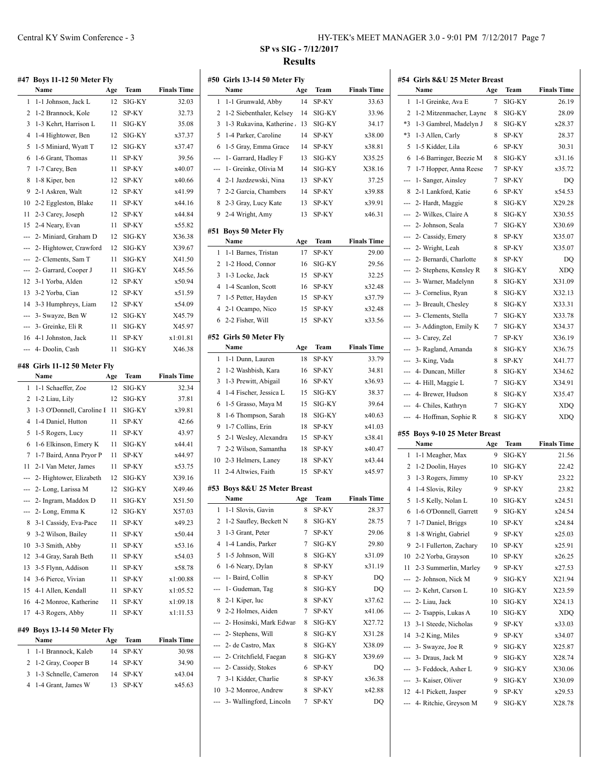|                | #47 Boys 11-12 50 Meter Fly               |     |        |                    |
|----------------|-------------------------------------------|-----|--------|--------------------|
|                | Name                                      | Age | Team   | <b>Finals Time</b> |
| 1              | 1-1 Johnson, Jack L                       | 12  | SIG-KY | 32.03              |
| 2              | 1-2 Brannock, Kole                        | 12  | SP-KY  | 32.73              |
| 3              | 1-3 Kehrt, Harrison L                     | 11  | SIG-KY | 35.08              |
| 4              | 1-4 Hightower, Ben                        | 12  | SIG-KY | x37.37             |
| 5              | 1-5 Miniard, Wyatt T                      | 12  | SIG-KY | x37.47             |
| 6              | 1-6 Grant, Thomas                         | 11  | SP-KY  | 39.56              |
| 7              | 1-7 Carey, Ben                            | 11  | SP-KY  | x40.07             |
| 8              | 1-8 Kiper, ben                            | 12  | SP-KY  | x40.66             |
| 9              | 2-1 Askren. Walt                          | 12  | SP-KY  | x41.99             |
| 10             | 2-2 Eggleston, Blake                      | 11  | SP-KY  | x44.16             |
| 11             | 2-3 Carey, Joseph                         | 12  | SP-KY  | x44.84             |
| 15             | 2-4 Neary, Evan                           | 11  | SP-KY  | x55.82             |
| ---            | 2- Miniard, Graham D                      | 12  | SIG-KY | X36.38             |
| ---            | 2- Hightower, Crawford                    | 12  | SIG-KY | X39.67             |
| ---            | 2- Clements, Sam T                        | 11  | SIG-KY | X41.50             |
| $\overline{a}$ | 2- Garrard, Cooper J                      | 11  | SIG-KY | X45.56             |
| 12             | 3-1 Yorba, Alden                          | 12  | SP-KY  | x50.94             |
| 13             | 3-2 Yorba, Cian                           | 12  | SP-KY  | x51.59             |
| 14             | 3-3 Humphreys, Liam                       | 12  | SP-KY  | x54.09             |
| ---            | 3- Swayze, Ben W                          | 12  | SIG-KY | X45.79             |
| ---            | 3- Greinke, Eli R                         | 11  | SIG-KY | X45.97             |
| 16             | 4-1 Johnston, Jack                        | 11  | SP-KY  | x1:01.81           |
| ---            | 4- Doolin, Cash                           | 11  | SIG-KY | X46.38             |
|                |                                           |     |        |                    |
|                | #48 Girls 11-12 50 Meter Fly              |     |        |                    |
|                | Name                                      | Age | Team   | <b>Finals Time</b> |
| 1              | 1-1 Schaeffer, Zoe                        | 12  | SIG-KY | 32.34              |
|                |                                           |     |        |                    |
| 2              | 1-2 Liau, Lily                            | 12  | SIG-KY | 37.81              |
| 3              | 1-3 O'Donnell, Caroline I                 | 11  | SIG-KY | x39.81             |
| 4              | 1-4 Daniel, Hutton                        | 11  | SP-KY  | 42.66              |
| 5              | 1-5 Rogers, Lucy                          | 11  | SP-KY  | 43.97              |
| 6              | 1-6 Elkinson, Emery K                     | 11  | SIG-KY | x44.41             |
| 7              | 1-7 Baird, Anna Pryor P                   | 11  | SP-KY  | x44.97             |
| 11             | 2-1 Van Meter, James                      | 11  | SP-KY  | x53.75             |
| ---            | 2- Hightower, Elizabeth                   | 12  | SIG-KY | X39.16             |
| ---            | 2- Long, Larissa M                        | 12  | SIG-KY | X49.46             |
| ---            | 2- Ingram, Maddox D                       | 11  | SIG-KY | X51.50             |
| ---            | 2- Long, Emma K                           | 12  | SIG-KY | X57.03             |
| 8              | 3-1 Cassidy, Eva-Pace                     | 11  | SP-KY  | x49.23             |
| 9              | 3-2 Wilson, Bailey                        | 11  | SP-KY  | x50.44             |
| 10             | 3-3 Smith, Abby                           | 11  | SP-KY  | x53.16             |
| 12             | 3-4 Gray, Sarah Beth                      | 11  | SP-KY  | x54.03             |
| 13             | 3-5 Flynn, Addison                        | 11  | SP-KY  | x58.78             |
| 14             | 3-6 Pierce, Vivian                        | 11  | SP-KY  | x1:00.88           |
| 15             | 4-1 Allen, Kendall                        | 11  | SP-KY  | x1:05.52           |
| 16             | 4-2 Monroe, Katherine                     | 11  | SP-KY  | x1:09.18           |
| 17             | 4-3 Rogers, Abby                          | 11  | SP-KY  | x1:11.53           |
| #49            |                                           |     |        |                    |
|                | <b>Boys 13-14 50 Meter Fly</b><br>Name    | Age | Team   | <b>Finals Time</b> |
| 1              |                                           | 14  | SP-KY  | 30.98              |
| 2              | 1-1 Brannock, Kaleb<br>1-2 Gray, Cooper B | 14  | SP-KY  | 34.90              |
| 3              | 1-3 Schnelle, Cameron                     | 14  | SP-KY  | x43.04             |
| 4              | 1-4 Grant, James W                        | 13  | SP-KY  | x45.63             |

|          | #50 Girls 13-14 50 Meter Fly              |        |                |                    |
|----------|-------------------------------------------|--------|----------------|--------------------|
|          | Name                                      | Age    | Team           | <b>Finals Time</b> |
| 1        | 1-1 Grunwald, Abby                        | 14     | SP-KY          | 33.63              |
| 2        | 1-2 Siebenthaler, Kelsey                  | 14     | SIG-KY         | 33.96              |
| 3        | 1-3 Rukavina, Katherine                   | 13     | SIG-KY         | 34.17              |
| 5        | 1-4 Parker, Caroline                      | 14     | SP-KY          | x38.00             |
| 6        | 1-5 Gray, Emma Grace                      | 14     | SP-KY          | x38.81             |
| ---      | 1- Garrard, Hadley F                      | 13     | SIG-KY         | X35.25             |
| ---      | 1- Greinke, Olivia M                      | 14     | SIG-KY         | X38.16             |
| 4        | 2-1 Jazdzewski, Nina                      | 13     | SP-KY          | 37.25              |
| 7        | 2-2 Garcia, Chambers                      | 14     | SP-KY          | x39.88             |
| 8        | 2-3 Gray, Lucy Kate                       | 13     | SP-KY          | x39.91             |
| 9        | 2-4 Wright, Amy                           | 13     | SP-KY          | x46.31             |
| #51      | <b>Boys 50 Meter Fly</b>                  |        |                |                    |
|          | Name                                      | Age    | Team           | <b>Finals Time</b> |
| 1        | 1-1 Barnes, Tristan                       | 17     | SP-KY          | 29.00              |
| 2        | 1-2 Hood, Connor                          | 16     | SIG-KY         | 29.56              |
| 3        | 1-3 Locke, Jack                           | 15     | SP-KY          | 32.25              |
| 4        | 1-4 Scanlon, Scott                        | 16     | SP-KY          | x32.48             |
| 7        | 1-5 Petter, Hayden                        | 15     | SP-KY          | x37.79             |
| 4        | 2-1 Ocampo, Nico                          | 15     | SP-KY          | x32.48             |
| 6        | 2-2 Fisher, Will                          | 15     | SP-KY          | x33.56             |
|          | #52 Girls 50 Meter Fly                    |        |                |                    |
|          | Name                                      | Age    | Team           | <b>Finals Time</b> |
| 1        | 1-1 Dunn, Lauren                          | 18     | SP-KY          | 33.79              |
| 2        | 1-2 Washbish, Kara                        | 16     | SP-KY          | 34.81              |
| 3        | 1-3 Prewitt, Abigail                      | 16     | SP-KY          | x36.93             |
| 4        | 1-4 Fischer, Jessica L                    | 15     | SIG-KY         | 38.37              |
| 6        | 1-5 Grasso, Maya M                        | 15     | SIG-KY         | 39.64              |
| 8        | 1-6 Thompson, Sarah                       | 18     | SIG-KY         | x40.63             |
| 9        | 1-7 Collins, Erin                         | 18     | SP-KY          | x41.03             |
| 5        | 2-1 Wesley, Alexandra                     | 15     | SP-KY          | x38.41             |
| 7        | 2-2 Wilson, Samantha                      | 18     | SP-KY          | x40.47             |
| 10       | 2-3 Helmers, Laney                        | 18     | SP-KY          | x43.44             |
| 11       | 2-4 Altwies, Faith                        | 15     | SP-KY          | x45.97             |
|          | #53 Boys 8&U 25 Meter Breast              |        |                |                    |
|          | Name                                      | Age    | Team           | <b>Finals Time</b> |
| 1        | 1-1 Slovis, Gavin                         | 8      | SP-KY          | 28.37              |
| 2        | 1-2 Saufley, Beckett N                    | 8      | SIG-KY         | 28.75              |
| 3        | 1-3 Grant, Peter                          | 7      | SP-KY          | 29.06              |
| 4        | 1-4 Landis, Parker                        | 7      | SIG-KY         | 29.80              |
| 5        | 1-5 Johnson, Will                         | 8      | SIG-KY         | x31.09             |
| 6        | 1-6 Neary, Dylan                          | 8      | SP-KY          | x31.19             |
| ---      | 1- Baird, Collin                          | 8      | SP-KY          | DQ                 |
| ---      | 1- Gudeman, Tag                           | 8      | SIG-KY         | DQ                 |
| 8        | 2-1 Kiper, luc                            | 8      | SP-KY          | x37.62             |
| 9        | 2-2 Holmes, Aiden                         | 7      | SP-KY          | x41.06             |
| ---      | 2- Hosinski, Mark Edwar                   | 8      | SIG-KY         | X27.72             |
|          | --- 2- Stephens, Will                     | 8      | SIG-KY         | X31.28             |
|          | --- 2- de Castro, Max                     | 8      | SIG-KY         | X38.09             |
| ---      | 2- Critchfield, Faegan                    | 8      | SIG-KY         | X39.69             |
| ---<br>7 | 2- Cassidy, Stokes<br>3-1 Kidder, Charlie | 6<br>8 | SP-KY          | DQ                 |
| 10       | 3-2 Monroe, Andrew                        | 8      | SP-KY<br>SP-KY | x36.38<br>x42.88   |
| ---      | 3- Wallingford, Lincoln                   | 7      | SP-KY          | DQ                 |
|          |                                           |        |                |                    |

| #54            | Girls 8&U 25 Meter Breast              |     |        |                    |
|----------------|----------------------------------------|-----|--------|--------------------|
|                | Name                                   | Age | Team   | <b>Finals Time</b> |
| 1              | 1-1 Greinke, Ava E                     | 7   | SIG-KY | 26.19              |
| 2              | 1-2 Mitzenmacher, Layne                | 8   | SIG-KY | 28.09              |
| $*3$           | 1-3 Gambrel, Madelyn J                 | 8   | SIG-KY | x28.37             |
| *3             | 1-3 Allen, Carly                       | 8   | SP-KY  | 28.37              |
| 5              | 1-5 Kidder, Lila                       | 6   | SP-KY  | 30.31              |
| 6              | 1-6 Barringer, Beezie M                | 8   | SIG-KY | x31.16             |
| 7              | 1-7 Hopper, Anna Reese                 | 7   | SP-KY  | x35.72             |
| ---            | 1- Sanger, Ainsley                     | 7   | SP-KY  | DQ                 |
| 8              | 2-1 Lankford, Katie                    | 6   | SP-KY  | x54.53             |
| ---            | 2- Hardt, Maggie                       | 8   | SIG-KY | X29.28             |
| ---            | 2- Wilkes, Claire A                    | 8   | SIG-KY | X30.55             |
| ---            | 2- Johnson, Seala                      | 7   | SIG-KY | X30.69             |
| $\overline{a}$ | 2- Cassidy, Emery                      | 8   | SP-KY  | X35.07             |
| $\overline{a}$ | 2- Wright, Leah                        | 8   | SP-KY  | X35.07             |
| ---            | 2- Bernardi, Charlotte                 | 8   | SP-KY  | DO                 |
| $\overline{a}$ | 2- Stephens, Kensley R                 | 8   | SIG-KY | XDQ                |
|                | 3- Warner, Madelynn                    | 8   | SIG-KY | X31.09             |
|                | 3- Cornelius, Ryan                     | 8   | SIG-KY | X32.13             |
| ---            | 3- Breault, Chesley                    | 8   | SIG-KY | X33.31             |
| ---            | 3- Clements, Stella                    | 7   | SIG-KY | X33.78             |
| $\overline{a}$ | 3- Addington, Emily K                  | 7   | SIG-KY | X34.37             |
| $\overline{a}$ | 3- Carey, Zel                          | 7   | SP-KY  | X36.19             |
| ---            | 3- Ragland, Amanda                     | 8   | SIG-KY | X36.75             |
| ---            | 3- King, Vada                          | 8   | SP-KY  | X41.77             |
| $\overline{a}$ | 4- Duncan, Miller                      | 8   | SIG-KY | X34.62             |
| $\overline{a}$ |                                        | 7   | SIG-KY | X34.91             |
|                | 4- Hill, Maggie L<br>4- Brewer, Hudson | 8   | SIG-KY |                    |
| ---            |                                        |     |        | X35.47             |
|                |                                        |     |        |                    |
| ---            | 4- Chiles, Kathryn                     | 7   | SIG-KY | XDQ                |
| ---            | 4- Hoffman, Sophie R                   | 8   | SIG-KY | XDQ                |
| #55            | <b>Boys 9-10 25 Meter Breast</b>       |     |        |                    |
|                | Name                                   | Age | Team   | <b>Finals Time</b> |
| 1              | 1-1 Meagher, Max                       | 9   | SIG-KY | 21.56              |
| 2              | 1-2 Doolin, Hayes                      | 10  | SIG-KY | 22.42              |
| 3              | 1-3 Rogers, Jimmy                      | 10  | SP-KY  | 23.22              |
| 4              | 1-4 Slovis, Riley                      | 9   | SP-KY  | 23.82              |
| 5              | 1-5 Kelly, Nolan L                     | 10  | SIG-KY | x24.51             |
| 6              | 1-6 O'Donnell, Garrett                 | 9   | SIG-KY | x24.54             |
| 7              | 1-7 Daniel, Briggs                     | 10  | SP-KY  | x24.84             |
| 8              | 1-8 Wright, Gabriel                    | 9   | SP-KY  | x25.03             |
| 9              | 2-1 Fullerton, Zachary                 | 10  | SP-KY  | x25.91             |
| 10             | 2-2 Yorba, Grayson                     | 10  | SP-KY  | x26.25             |
| 11             | 2-3 Summerlin, Marley                  | 9   | SP-KY  | x27.53             |
| ---            | 2- Johnson, Nick M                     | 9   | SIG-KY | X21.94             |
| ---            | 2- Kehrt, Carson L                     | 10  | SIG-KY | X23.59             |
| ---            | 2- Liau, Jack                          | 10  | SIG-KY | X24.13             |
| ---            | 2- Tsappis, Lukas A                    | 10  | SIG-KY | XDQ                |
| 13             | 3-1 Steede, Nicholas                   | 9   | SP-KY  | x33.03             |
| 14             | 3-2 King, Miles                        | 9   | SP-KY  | x34.07             |
| ---            | 3- Swayze, Joe R                       | 9   | SIG-KY | X25.87             |
| ---            | 3- Draus, Jack M                       | 9   | SIG-KY | X28.74             |
| ---            | 3- Feddock, Asher L                    | 9   | SIG-KY | X30.06             |
| ---            | 3- Kaiser, Oliver                      | 9   | SIG-KY | X30.09             |
| 12             | 4-1 Pickett, Jasper                    | 9   | SP-KY  | x29.53             |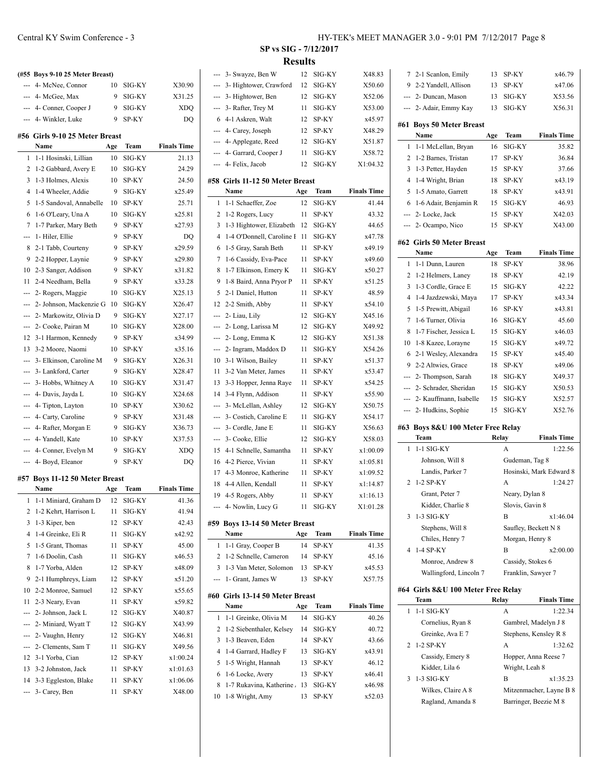|     | (#55 Boys 9-10 25 Meter Breast) |     |        |                    |
|-----|---------------------------------|-----|--------|--------------------|
|     | 4- McNee, Connor                | 10  | SIG-KY | X30.90             |
|     | 4- McGee, Max                   | 9   | SIG-KY | X31.25             |
| --- | 4- Conner, Cooper J             | 9   | SIG-KY | <b>XDO</b>         |
|     | 4- Winkler, Luke                | 9   | SP-KY  | DQ                 |
|     | #56 Girls 9-10 25 Meter Breast  |     |        |                    |
|     | Name                            | Age | Team   | <b>Finals Time</b> |
| 1   | 1-1 Hosinski, Lillian           | 10  | SIG-KY | 21.13              |
| 2   | 1-2 Gabbard, Avery E            | 10  | SIG-KY | 24.29              |
| 3   | 1-3 Holmes, Alexis              | 10  | SP-KY  | 24.50              |
| 4   | 1-4 Wheeler, Addie              | 9   | SIG-KY | x25.49             |
| 5   | 1-5 Sandoval, Annabelle         | 10  | SP-KY  | 25.71              |
| 6   | 1-6 O'Leary, Una A              | 10  | SIG-KY | x25.81             |
| 7   | 1-7 Parker, Mary Beth           | 9   | SP-KY  | x27.93             |
| --- | 1- Hiler, Ellie                 | 9   | SP-KY  | DQ                 |
| 8   | 2-1 Tabb, Courteny              | 9   | SP-KY  | x29.59             |
| 9   | 2-2 Hopper, Laynie              | 9   | SP-KY  | x29.80             |
| 10  | 2-3 Sanger, Addison             | 9   | SP-KY  | x31.82             |
| 11  | 2-4 Needham, Bella              | 9   | SP-KY  | x33.28             |
| --- | 2- Rogers, Maggie               | 10  | SIG-KY | X25.13             |
| --- | 2- Johnson, Mackenzie G         | 10  | SIG-KY | X26.47             |
|     | 2- Markowitz, Olivia D          | 9   | SIG-KY | X27.17             |
| --- | 2- Cooke, Pairan M              | 10  | SIG-KY | X28.00             |
| 12  | 3-1 Harmon, Kennedy             | 9   | SP-KY  | x34.99             |
| 13  | 3-2 Moore, Naomi                | 10  | SP-KY  | x35.16             |
| --- | 3- Elkinson, Caroline M         | 9   | SIG-KY | X26.31             |
| --- | 3- Lankford, Carter             | 9   | SIG-KY | X28.47             |
|     | 3- Hobbs, Whitney A             | 10  | SIG-KY | X31.47             |
| --- | 4- Davis, Jayda L               | 10  | SIG-KY | X24.68             |
| --- | 4- Tipton, Layton               | 10  | SP-KY  | X30.62             |
| --- | 4- Carty, Caroline              | 9   | SP-KY  | X31.48             |
| --- | 4- Rafter, Morgan E             | 9   | SIG-KY | X36.73             |
| --- | 4- Yandell, Kate                | 10  | SP-KY  | X37.53             |
| --- | 4- Conner, Evelyn M             | 9   | SIG-KY | <b>XDQ</b>         |
| --- | 4- Boyd, Eleanor                | 9   | SP-KY  | DQ                 |
|     | #57 Boys 11-12 50 Meter Breast  |     |        |                    |
|     | Namo                            |     | Toon   | <b>Finale Tim</b>  |

|                | Name                  | Age | Team   | <b>Finals Time</b> |
|----------------|-----------------------|-----|--------|--------------------|
| 1              | 1-1 Miniard, Graham D | 12  | SIG-KY | 41.36              |
| $\overline{2}$ | 1-2 Kehrt, Harrison L | 11  | SIG-KY | 41.94              |
| 3              | 1-3 Kiper, ben        | 12  | SP-KY  | 42.43              |
| 4              | 1-4 Greinke, Eli R    | 11  | SIG-KY | x42.92             |
| 5              | 1-5 Grant, Thomas     | 11  | SP-KY  | 45.00              |
| 7              | 1-6 Doolin, Cash      | 11  | SIG-KY | x46.53             |
| 8              | 1-7 Yorba, Alden      | 12  | SP-KY  | x48.09             |
| 9              | 2-1 Humphreys, Liam   | 12  | SP-KY  | x51.20             |
| 10             | 2-2 Monroe, Samuel    | 12  | SP-KY  | x55.65             |
| 11             | 2-3 Neary, Evan       | 11  | SP-KY  | x59.82             |
|                | 2- Johnson, Jack L    | 12  | SIG-KY | X40.87             |
|                | 2- Miniard, Wyatt T   | 12  | SIG-KY | X43.99             |
|                | 2- Vaughn, Henry      | 12  | SIG-KY | X46.81             |
|                | 2- Clements, Sam T    | 11  | SIG-KY | X49.56             |
| 12             | 3-1 Yorba, Cian       | 12  | SP-KY  | x1:00.24           |
| 13             | 3-2 Johnston, Jack    | 11  | SP-KY  | x1:01.63           |
| 14             | 3-3 Eggleston, Blake  | 11  | SP-KY  | x1:06.06           |
|                | 3- Carey, Ben         | 11  | SP-KY  | X48.00             |
|                |                       |     |        |                    |

| --- | 3- Swayze, Ben W                | 12  | SIG-KY | X48.83             |
|-----|---------------------------------|-----|--------|--------------------|
| --- | 3- Hightower, Crawford          | 12  | SIG-KY | X50.60             |
| --- | 3- Hightower, Ben               | 12  | SIG-KY | X52.06             |
| --- | 3- Rafter, Trey M               | 11  | SIG-KY | X53.00             |
| 6   | 4-1 Askren, Walt                | 12  | SP-KY  | x45.97             |
| --- | 4- Carey, Joseph                | 12  | SP-KY  | X48.29             |
| --- | 4- Applegate, Reed              | 12  | SIG-KY | X51.87             |
| --- | 4- Garrard, Cooper J            | 11  | SIG-KY | X58.72             |
| --- | 4- Felix, Jacob                 | 12  | SIG-KY | X1:04.32           |
|     |                                 |     |        |                    |
| #58 | Girls 11-12 50 Meter Breast     |     |        |                    |
|     | Name                            | Age | Team   | <b>Finals Time</b> |
| 1   | 1-1 Schaeffer, Zoe              | 12  | SIG-KY | 41.44              |
| 2   | 1-2 Rogers, Lucy                | 11  | SP-KY  | 43.32              |
| 3   | 1-3 Hightower, Elizabeth        | 12  | SIG-KY | 44.65              |
| 4   | 1-4 O'Donnell, Caroline I       | 11  | SIG-KY | x47.78             |
| 6   | 1-5 Gray, Sarah Beth            | 11  | SP-KY  | x49.19             |
| 7   | 1-6 Cassidy, Eva-Pace           | 11  | SP-KY  | x49.60             |
| 8   | 1-7 Elkinson, Emery K           | 11  | SIG-KY | x50.27             |
| 9   | 1-8 Baird, Anna Pryor P         | 11  | SP-KY  | x51.25             |
| 5   | 2-1 Daniel, Hutton              | 11  | SP-KY  | 48.59              |
| 12  | 2-2 Smith, Abby                 | 11  | SP-KY  | x54.10             |
| --- | 2- Liau, Lily                   | 12  | SIG-KY | X45.16             |
| --- | 2- Long, Larissa M              | 12  | SIG-KY | X49.92             |
| --- | 2- Long, Emma K                 | 12  | SIG-KY | X51.38             |
| --- | 2- Ingram, Maddox D             | 11  | SIG-KY | X54.26             |
| 10  | 3-1 Wilson, Bailey              | 11  | SP-KY  | x51.37             |
| 11  | 3-2 Van Meter, James            | 11  | SP-KY  | x53.47             |
| 13  |                                 | 11  |        |                    |
|     | 3-3 Hopper, Jenna Raye          |     | SP-KY  | x54.25             |
| 14  | 3-4 Flynn, Addison              | 11  | SP-KY  | x55.90             |
| --- | 3- McLellan, Ashley             | 12  | SIG-KY | X50.75             |
| --- | 3- Costich, Caroline E          | 11  | SIG-KY | X54.17             |
| --- | 3- Cordle, Jane E               | 11  | SIG-KY | X56.63             |
| --- | 3- Cooke, Ellie                 | 12  | SIG-KY | X58.03             |
| 15  | 4-1 Schnelle, Samantha          | 11  | SP-KY  | x1:00.09           |
| 16  | 4-2 Pierce, Vivian              | 11  | SP-KY  | x1:05.81           |
| 17  | 4-3 Monroe, Katherine           | 11  | SP-KY  | x1:09.52           |
| 18  | 4-4 Allen, Kendall              | 11  | SP-KY  | x1:14.87           |
| 19  | 4-5 Rogers, Abby                | 11  | SP-KY  | x1:16.13           |
| --- | 4- Nowlin, Lucy G               | 11  | SIG-KY | X1:01.28           |
|     | #59 Boys 13-14 50 Meter Breast  |     |        |                    |
|     | Name                            | Age | Team   | <b>Finals Time</b> |
| 1   | 1-1 Gray, Cooper B              | 14  | SP-KY  | 41.35              |
| 2   | 1-2 Schnelle, Cameron           | 14  | SP-KY  | 45.16              |
| 3   | 1-3 Van Meter, Solomon          | 13  | SP-KY  | x45.53             |
|     | 1- Grant, James W               |     | SP-KY  |                    |
| --- |                                 | 13  |        | X57.75             |
|     | #60 Girls 13-14 50 Meter Breast |     |        |                    |
|     | Name                            | Age | Team   | <b>Finals Time</b> |
| 1   | 1-1 Greinke, Olivia M           | 14  | SIG-KY | 40.26              |
| 2   | 1-2 Siebenthaler, Kelsey        | 14  | SIG-KY | 40.72              |
| 3   | 1-3 Beaven, Eden                | 14  | SP-KY  | 43.66              |
| 4   | 1-4 Garrard, Hadley F           | 13  | SIG-KY | x43.91             |
| 5   | 1-5 Wright, Hannah              | 13  | SP-KY  | 46.12              |
| 6   | 1-6 Locke, Avery                | 13  | SP-KY  | x46.41             |
| 8   | 1-7 Rukavina, Katherine         | 13  | SIG-KY | x46.98             |
| 10  | 1-8 Wright, Amy                 | 13  | SP-KY  | x52.03             |
|     |                                 |     |        |                    |

| 7              | 2-1 Scanlon, Emily                         | 13  | SP-KY                | x46.79                  |
|----------------|--------------------------------------------|-----|----------------------|-------------------------|
|                | 9 2-2 Yandell, Allison                     | 13  | SP-KY                | x47.06                  |
|                | --- 2- Duncan, Mason                       | 13  | SIG-KY               | X53.56                  |
|                | --- 2- Adair, Emmy Kay                     | 13  | SIG-KY               | X56.31                  |
|                | #61 Boys 50 Meter Breast                   |     |                      |                         |
|                | Name                                       | Age | Team                 | <b>Finals Time</b>      |
| 1              | 1-1 McLellan, Bryan                        | 16  | SIG-KY               | 35.82                   |
| 2              | 1-2 Barnes, Tristan                        | 17  | SP-KY                | 36.84                   |
| 3              | 1-3 Petter, Hayden                         | 15  | SP-KY                | 37.66                   |
| $\overline{4}$ | 1-4 Wright, Brian                          | 18  | SP-KY                | x43.19                  |
| 5              | 1-5 Amato, Garrett                         | 18  | SP-KY                | x43.91                  |
| 6              | 1-6 Adair, Benjamin R                      | 15  | SIG-KY               | 46.93                   |
| ---            | 2- Locke, Jack                             | 15  | SP-KY                | X42.03                  |
| ---            | 2- Ocampo, Nico                            | 15  | SP-KY                | X43.00                  |
|                | #62 Girls 50 Meter Breast                  |     |                      |                         |
|                | Name                                       | Age | Team                 | <b>Finals Time</b>      |
| 1              | 1-1 Dunn, Lauren                           | 18  | SP-KY                | 38.96                   |
| 2              | 1-2 Helmers, Laney                         | 18  | SP-KY                | 42.19                   |
| 3              | 1-3 Cordle, Grace E                        | 15  | SIG-KY               | 42.22                   |
| 4              | 1-4 Jazdzewski, Maya                       | 17  | SP-KY                | x43.34                  |
| 5              | 1-5 Prewitt, Abigail                       | 16  | SP-KY                | x43.81                  |
| 7              | 1-6 Turner, Olivia                         | 16  | SIG-KY               | 45.60                   |
| 8              | 1-7 Fischer, Jessica L                     | 15  | SIG-KY               | x46.03                  |
| 10             | 1-8 Kazee, Lorayne                         | 15  | SIG-KY               | x49.72                  |
| 6              | 2-1 Wesley, Alexandra                      | 15  | SP-KY                | x45.40                  |
| 9              | 2-2 Altwies, Grace                         | 18  | SP-KY                | x49.06                  |
| ---            | 2- Thompson, Sarah                         | 18  | SIG-KY               | X49.37                  |
|                | --- 2- Schrader, Sheridan                  | 15  | SIG-KY               | X50.53                  |
|                | --- 2- Kauffmann, Isabelle                 | 15  | SIG-KY               |                         |
| ---            | 2- Hudkins, Sophie                         | 15  | SIG-KY               | X52.57<br>X52.76        |
|                | #63 Boys 8&U 100 Meter Free Relay          |     |                      |                         |
|                | Team                                       |     | Relay                | <b>Finals Time</b>      |
| 1              | $1-1$ SIG-KY                               |     | A                    | 1:22.56                 |
|                | Johnson, Will 8                            |     | Gudeman, Tag 8       |                         |
|                | Landis, Parker 7                           |     |                      | Hosinski, Mark Edward 8 |
| 2              | 1-2 SP-KY                                  |     | A                    | 1:24.27                 |
|                | Grant, Peter 7                             |     | Neary, Dylan 8       |                         |
|                | Kidder, Charlie 8                          |     | Slovis, Gavin 8      |                         |
| 3              | 1-3 SIG-KY                                 |     | В                    | x1:46.04                |
|                | Stephens, Will 8                           |     | Saufley, Beckett N 8 |                         |
|                | Chiles, Henry 7                            |     | Morgan, Henry 8      |                         |
|                | 1-4 SP-KY                                  |     |                      | x2:00.00                |
| 4              |                                            |     | B                    |                         |
|                | Monroe, Andrew 8                           |     | Cassidy, Stokes 6    |                         |
|                | Wallingford, Lincoln 7                     |     | Franklin, Sawyer 7   |                         |
|                | #64 Girls 8&U 100 Meter Free Relay<br>Team |     | Relay                | <b>Finals Time</b>      |
| 1              | 1-1 SIG-KY                                 |     | A                    | 1:22.34                 |
|                | Cornelius, Ryan 8                          |     |                      | Gambrel, Madelyn J 8    |
|                | Greinke, Ava E 7                           |     |                      | Stephens, Kensley R 8   |
| 2              | 1-2 SP-KY                                  |     | A                    | 1:32.62                 |
|                | Cassidy, Emery 8                           |     |                      | Hopper, Anna Reese 7    |
|                | Kidder, Lila 6                             |     | Wright, Leah 8       |                         |
| 3              | 1-3 SIG-KY                                 |     | B                    | x1:35.23                |
|                | Wilkes, Claire A 8                         |     |                      |                         |
|                |                                            |     |                      | Mitzenmacher, Layne B 8 |
|                | Ragland, Amanda 8                          |     |                      | Barringer, Beezie M 8   |
|                |                                            |     |                      |                         |